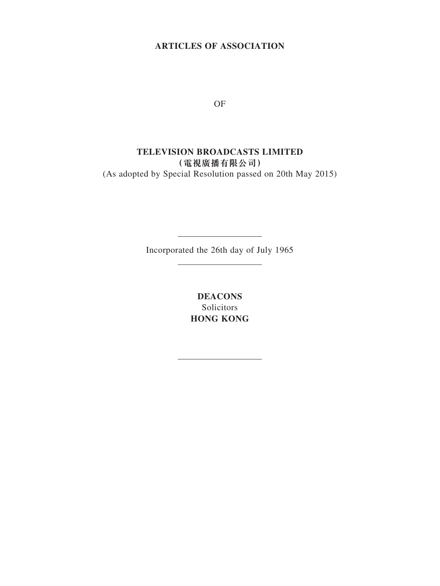## **ARTICLES OF ASSOCIATION**

OF

# **TELEVISION BROADCASTS LIMITED (電視廣播有限公司)** (As adopted by Special Resolution passed on 20th May 2015)

Incorporated the 26th day of July 1965

**DEACONS** Solicitors **HONG KONG**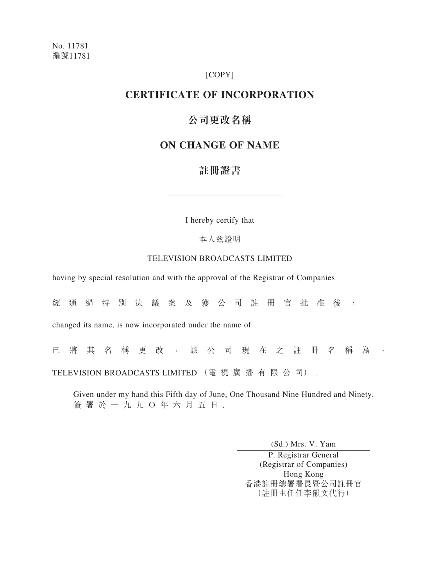### [COPY]

## **CERTIFICATE OF INCORPORATION**

# **公司更改名稱**

## **ON CHANGE OF NAME**

# **註冊證書**

I hereby certify that

本人兹證明

### TELEVISION BROADCASTS LIMITED

having by special resolution and with the approval of the Registrar of Companies

經通過特別決議案及獲公司註冊官批准後,

changed its name, is now incorporated under the name of

已 將 其 名 稱 更 改 , 該 公 司 現 在 之 註 冊 名 稱 為 , TELEVISION BROADCASTS LIMITED (電 視 廣 播 有 限 公 司) .

Given under my hand this Fifth day of June, One Thousand Nine Hundred and Ninety. 簽署於一九九O年六月五日.

(Sd.) Mrs. V. Yam

P. Registrar General (Registrar of Companies) Hong Kong 香港註冊總署署長暨公司註冊官 (註冊主任任李韻文代行)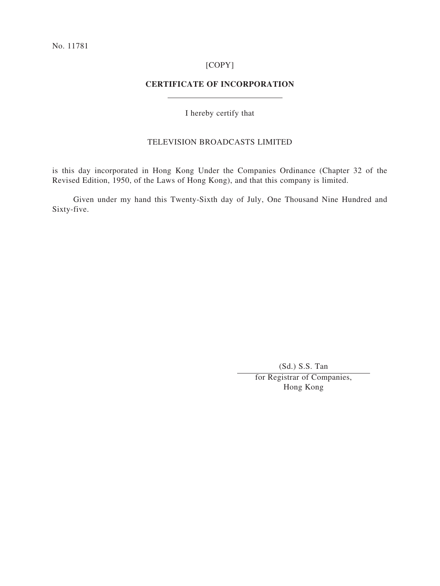### [COPY]

## **CERTIFICATE OF INCORPORATION**

I hereby certify that

## TELEVISION BROADCASTS LIMITED

is this day incorporated in Hong Kong Under the Companies Ordinance (Chapter 32 of the Revised Edition, 1950, of the Laws of Hong Kong), and that this company is limited.

Given under my hand this Twenty-Sixth day of July, One Thousand Nine Hundred and Sixty-five.

(Sd.) S.S. Tan

for Registrar of Companies, Hong Kong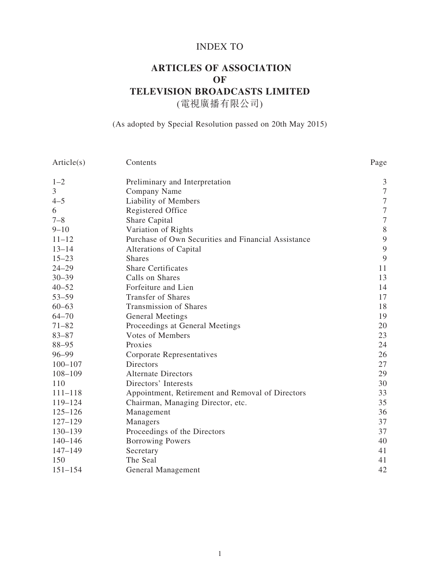# INDEX TO

# **ARTICLES OF ASSOCIATION OF TELEVISION BROADCASTS LIMITED** (電視廣播有限公司)

## (As adopted by Special Resolution passed on 20th May 2015)

| Article(s)     | Contents                                            | Page             |
|----------------|-----------------------------------------------------|------------------|
| $1 - 2$        | Preliminary and Interpretation                      | 3                |
| $\mathfrak{Z}$ | Company Name                                        | $\boldsymbol{7}$ |
| $4 - 5$        | Liability of Members                                | $\boldsymbol{7}$ |
| 6              | Registered Office                                   | $\boldsymbol{7}$ |
| $7 - 8$        | Share Capital                                       | $\boldsymbol{7}$ |
| $9 - 10$       | Variation of Rights                                 | $\, 8$           |
| $11 - 12$      | Purchase of Own Securities and Financial Assistance | $\overline{9}$   |
| $13 - 14$      | Alterations of Capital                              | 9                |
| $15 - 23$      | <b>Shares</b>                                       | 9                |
| $24 - 29$      | <b>Share Certificates</b>                           | 11               |
| $30 - 39$      | Calls on Shares                                     | 13               |
| $40 - 52$      | Forfeiture and Lien                                 | 14               |
| $53 - 59$      | <b>Transfer of Shares</b>                           | 17               |
| $60 - 63$      | <b>Transmission of Shares</b>                       | 18               |
| $64 - 70$      | General Meetings                                    | 19               |
| $71 - 82$      | Proceedings at General Meetings                     | 20               |
| $83 - 87$      | <b>Votes of Members</b>                             | 23               |
| $88 - 95$      | Proxies                                             | 24               |
| $96 - 99$      | Corporate Representatives                           | 26               |
| $100 - 107$    | <b>Directors</b>                                    | 27               |
| $108 - 109$    | <b>Alternate Directors</b>                          | 29               |
| 110            | Directors' Interests                                | 30               |
| $111 - 118$    | Appointment, Retirement and Removal of Directors    | 33               |
| 119-124        | Chairman, Managing Director, etc.                   | 35               |
| $125 - 126$    | Management                                          | 36               |
| $127 - 129$    | Managers                                            | 37               |
| $130 - 139$    | Proceedings of the Directors                        | 37               |
| $140 - 146$    | <b>Borrowing Powers</b>                             | 40               |
| $147 - 149$    | Secretary                                           | 41               |
| 150            | The Seal                                            | 41               |
| $151 - 154$    | <b>General Management</b>                           | 42               |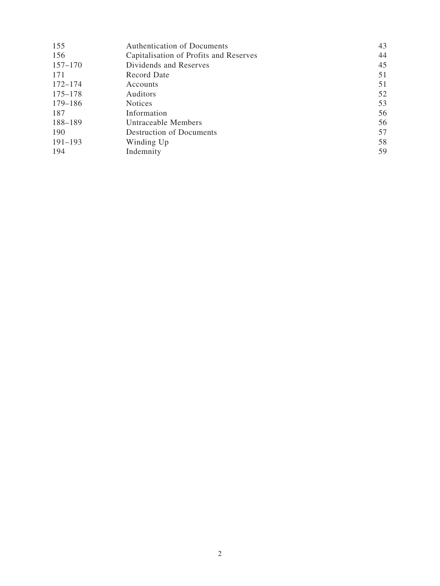| 155         | <b>Authentication of Documents</b>     | 43 |
|-------------|----------------------------------------|----|
| 156         | Capitalisation of Profits and Reserves | 44 |
| $157 - 170$ | Dividends and Reserves                 | 45 |
| 171         | Record Date                            | 51 |
| $172 - 174$ | Accounts                               | 51 |
| $175 - 178$ | <b>Auditors</b>                        | 52 |
| $179 - 186$ | <b>Notices</b>                         | 53 |
| 187         | Information                            | 56 |
| 188-189     | Untraceable Members                    | 56 |
| 190         | <b>Destruction of Documents</b>        | 57 |
| $191 - 193$ | Winding Up                             | 58 |
| 194         | Indemnity                              | 59 |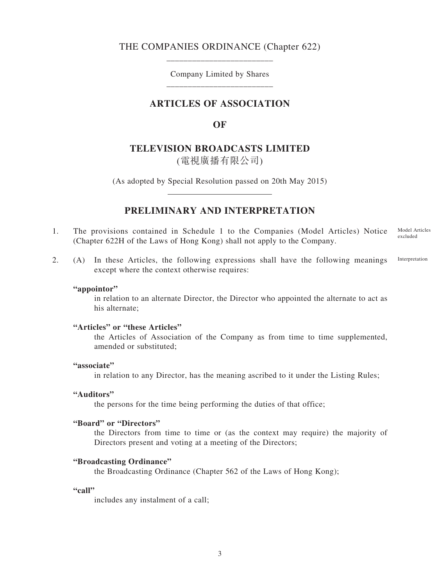## THE COMPANIES ORDINANCE (Chapter 622) \_\_\_\_\_\_\_\_\_\_\_\_\_\_\_\_\_\_\_\_\_\_\_\_\_

Company Limited by Shares \_\_\_\_\_\_\_\_\_\_\_\_\_\_\_\_\_\_\_\_\_\_\_\_\_

## **ARTICLES OF ASSOCIATION**

**OF**

## **TELEVISION BROADCASTS LIMITED**

(電視廣播有限公司)

(As adopted by Special Resolution passed on 20th May 2015)

## **PRELIMINARY AND INTERPRETATION**

- 1. The provisions contained in Schedule 1 to the Companies (Model Articles) Notice (Chapter 622H of the Laws of Hong Kong) shall not apply to the Company. Model Articles excluded
- 2. (A) In these Articles, the following expressions shall have the following meanings except where the context otherwise requires: Interpretation

#### **"appointor"**

in relation to an alternate Director, the Director who appointed the alternate to act as his alternate;

#### **"Articles" or "these Articles"**

the Articles of Association of the Company as from time to time supplemented, amended or substituted;

#### **"associate"**

in relation to any Director, has the meaning ascribed to it under the Listing Rules;

#### **"Auditors"**

the persons for the time being performing the duties of that office;

#### **"Board" or "Directors"**

the Directors from time to time or (as the context may require) the majority of Directors present and voting at a meeting of the Directors;

#### **"Broadcasting Ordinance"**

the Broadcasting Ordinance (Chapter 562 of the Laws of Hong Kong);

#### **"call"**

includes any instalment of a call;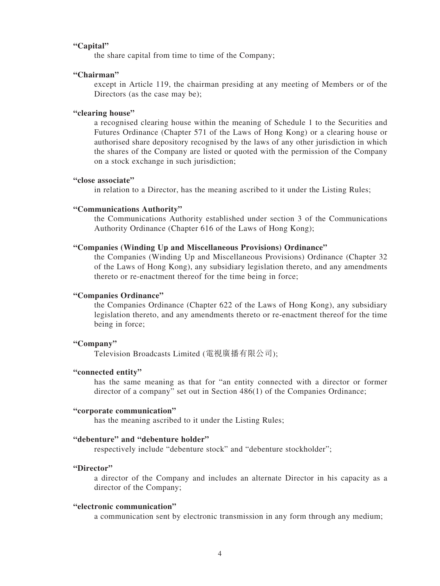#### **"Capital"**

the share capital from time to time of the Company;

#### **"Chairman"**

except in Article 119, the chairman presiding at any meeting of Members or of the Directors (as the case may be);

### **"clearing house"**

a recognised clearing house within the meaning of Schedule 1 to the Securities and Futures Ordinance (Chapter 571 of the Laws of Hong Kong) or a clearing house or authorised share depository recognised by the laws of any other jurisdiction in which the shares of the Company are listed or quoted with the permission of the Company on a stock exchange in such jurisdiction;

#### **"close associate"**

in relation to a Director, has the meaning ascribed to it under the Listing Rules;

#### **"Communications Authority"**

the Communications Authority established under section 3 of the Communications Authority Ordinance (Chapter 616 of the Laws of Hong Kong);

#### **"Companies (Winding Up and Miscellaneous Provisions) Ordinance"**

the Companies (Winding Up and Miscellaneous Provisions) Ordinance (Chapter 32 of the Laws of Hong Kong), any subsidiary legislation thereto, and any amendments thereto or re-enactment thereof for the time being in force;

#### **"Companies Ordinance"**

the Companies Ordinance (Chapter 622 of the Laws of Hong Kong), any subsidiary legislation thereto, and any amendments thereto or re-enactment thereof for the time being in force;

#### **"Company"**

Television Broadcasts Limited (電視廣播有限公司);

#### **"connected entity"**

has the same meaning as that for "an entity connected with a director or former director of a company" set out in Section 486(1) of the Companies Ordinance;

#### **"corporate communication"**

has the meaning ascribed to it under the Listing Rules;

#### **"debenture" and "debenture holder"**

respectively include "debenture stock" and "debenture stockholder";

#### **"Director"**

a director of the Company and includes an alternate Director in his capacity as a director of the Company;

## **"electronic communication"**

a communication sent by electronic transmission in any form through any medium;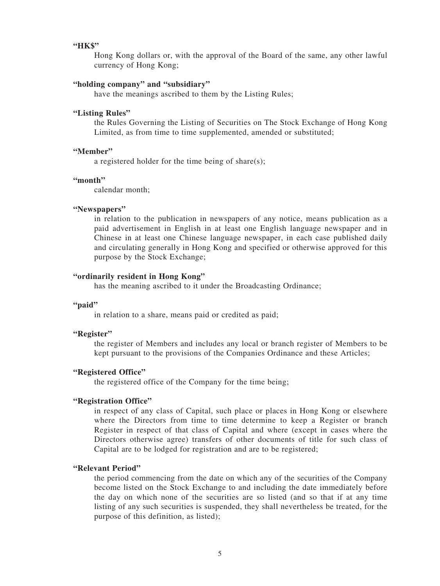### **"HK\$"**

Hong Kong dollars or, with the approval of the Board of the same, any other lawful currency of Hong Kong;

#### **"holding company" and "subsidiary"**

have the meanings ascribed to them by the Listing Rules;

#### **"Listing Rules"**

the Rules Governing the Listing of Securities on The Stock Exchange of Hong Kong Limited, as from time to time supplemented, amended or substituted;

#### **"Member"**

a registered holder for the time being of share(s);

#### **"month"**

calendar month;

#### **"Newspapers"**

in relation to the publication in newspapers of any notice, means publication as a paid advertisement in English in at least one English language newspaper and in Chinese in at least one Chinese language newspaper, in each case published daily and circulating generally in Hong Kong and specified or otherwise approved for this purpose by the Stock Exchange;

#### **"ordinarily resident in Hong Kong"**

has the meaning ascribed to it under the Broadcasting Ordinance;

#### **"paid"**

in relation to a share, means paid or credited as paid;

#### **"Register"**

the register of Members and includes any local or branch register of Members to be kept pursuant to the provisions of the Companies Ordinance and these Articles;

### **"Registered Office"**

the registered office of the Company for the time being;

### **"Registration Office"**

in respect of any class of Capital, such place or places in Hong Kong or elsewhere where the Directors from time to time determine to keep a Register or branch Register in respect of that class of Capital and where (except in cases where the Directors otherwise agree) transfers of other documents of title for such class of Capital are to be lodged for registration and are to be registered;

#### **"Relevant Period"**

the period commencing from the date on which any of the securities of the Company become listed on the Stock Exchange to and including the date immediately before the day on which none of the securities are so listed (and so that if at any time listing of any such securities is suspended, they shall nevertheless be treated, for the purpose of this definition, as listed);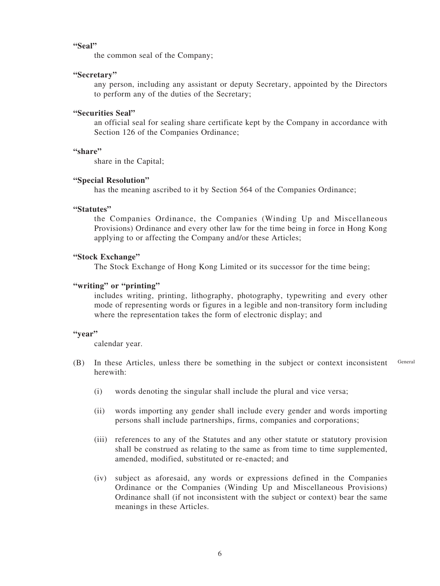#### **"Seal"**

the common seal of the Company;

#### **"Secretary"**

any person, including any assistant or deputy Secretary, appointed by the Directors to perform any of the duties of the Secretary;

## **"Securities Seal"**

an official seal for sealing share certificate kept by the Company in accordance with Section 126 of the Companies Ordinance;

#### **"share"**

share in the Capital;

#### **"Special Resolution"**

has the meaning ascribed to it by Section 564 of the Companies Ordinance;

### **"Statutes"**

the Companies Ordinance, the Companies (Winding Up and Miscellaneous Provisions) Ordinance and every other law for the time being in force in Hong Kong applying to or affecting the Company and/or these Articles;

#### **"Stock Exchange"**

The Stock Exchange of Hong Kong Limited or its successor for the time being;

#### **"writing" or "printing"**

includes writing, printing, lithography, photography, typewriting and every other mode of representing words or figures in a legible and non-transitory form including where the representation takes the form of electronic display; and

#### **"year"**

calendar year.

- (B) In these Articles, unless there be something in the subject or context inconsistent herewith: General
	- (i) words denoting the singular shall include the plural and vice versa;
	- (ii) words importing any gender shall include every gender and words importing persons shall include partnerships, firms, companies and corporations;
	- (iii) references to any of the Statutes and any other statute or statutory provision shall be construed as relating to the same as from time to time supplemented, amended, modified, substituted or re-enacted; and
	- (iv) subject as aforesaid, any words or expressions defined in the Companies Ordinance or the Companies (Winding Up and Miscellaneous Provisions) Ordinance shall (if not inconsistent with the subject or context) bear the same meanings in these Articles.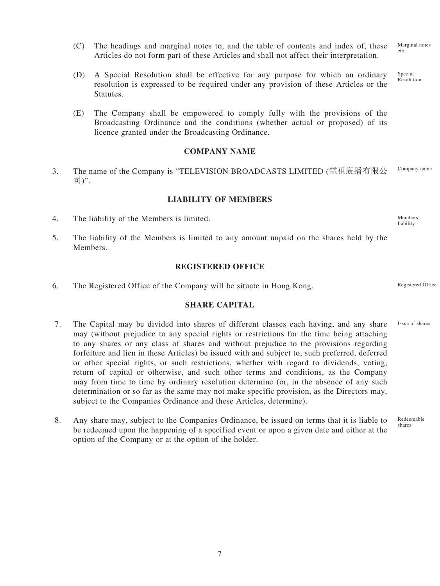- (C) The headings and marginal notes to, and the table of contents and index of, these Articles do not form part of these Articles and shall not affect their interpretation. Marginal notes etc.
- (D) A Special Resolution shall be effective for any purpose for which an ordinary resolution is expressed to be required under any provision of these Articles or the Statutes. Special Resolution
- (E) The Company shall be empowered to comply fully with the provisions of the Broadcasting Ordinance and the conditions (whether actual or proposed) of its licence granted under the Broadcasting Ordinance.

#### **COMPANY NAME**

3. The name of the Company is "TELEVISION BROADCASTS LIMITED (電視廣播有限公 司)". Company name

#### **LIABILITY OF MEMBERS**

- 4. The liability of the Members is limited.
- 5. The liability of the Members is limited to any amount unpaid on the shares held by the **Members**

#### **REGISTERED OFFICE**

6. The Registered Office of the Company will be situate in Hong Kong.

## **SHARE CAPITAL**

- 7. The Capital may be divided into shares of different classes each having, and any share may (without prejudice to any special rights or restrictions for the time being attaching to any shares or any class of shares and without prejudice to the provisions regarding forfeiture and lien in these Articles) be issued with and subject to, such preferred, deferred or other special rights, or such restrictions, whether with regard to dividends, voting, return of capital or otherwise, and such other terms and conditions, as the Company may from time to time by ordinary resolution determine (or, in the absence of any such determination or so far as the same may not make specific provision, as the Directors may, subject to the Companies Ordinance and these Articles, determine).
- 8. Any share may, subject to the Companies Ordinance, be issued on terms that it is liable to be redeemed upon the happening of a specified event or upon a given date and either at the option of the Company or at the option of the holder. shares

Members' liability

Registered Office

Issue of shares

Redeemable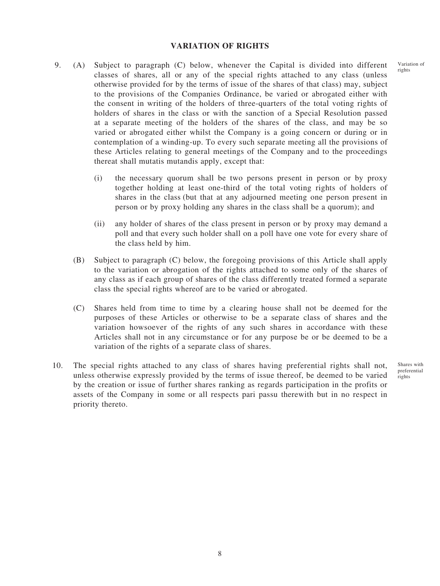#### **VARIATION OF RIGHTS**

- 9. (A) Subject to paragraph (C) below, whenever the Capital is divided into different classes of shares, all or any of the special rights attached to any class (unless otherwise provided for by the terms of issue of the shares of that class) may, subject to the provisions of the Companies Ordinance, be varied or abrogated either with the consent in writing of the holders of three-quarters of the total voting rights of holders of shares in the class or with the sanction of a Special Resolution passed at a separate meeting of the holders of the shares of the class, and may be so varied or abrogated either whilst the Company is a going concern or during or in contemplation of a winding-up. To every such separate meeting all the provisions of these Articles relating to general meetings of the Company and to the proceedings thereat shall mutatis mutandis apply, except that:
	- (i) the necessary quorum shall be two persons present in person or by proxy together holding at least one-third of the total voting rights of holders of shares in the class (but that at any adjourned meeting one person present in person or by proxy holding any shares in the class shall be a quorum); and
	- (ii) any holder of shares of the class present in person or by proxy may demand a poll and that every such holder shall on a poll have one vote for every share of the class held by him.
	- (B) Subject to paragraph (C) below, the foregoing provisions of this Article shall apply to the variation or abrogation of the rights attached to some only of the shares of any class as if each group of shares of the class differently treated formed a separate class the special rights whereof are to be varied or abrogated.
	- (C) Shares held from time to time by a clearing house shall not be deemed for the purposes of these Articles or otherwise to be a separate class of shares and the variation howsoever of the rights of any such shares in accordance with these Articles shall not in any circumstance or for any purpose be or be deemed to be a variation of the rights of a separate class of shares.
- 10. The special rights attached to any class of shares having preferential rights shall not, unless otherwise expressly provided by the terms of issue thereof, be deemed to be varied by the creation or issue of further shares ranking as regards participation in the profits or assets of the Company in some or all respects pari passu therewith but in no respect in priority thereto.

Shares with preferential rights

Variation of rights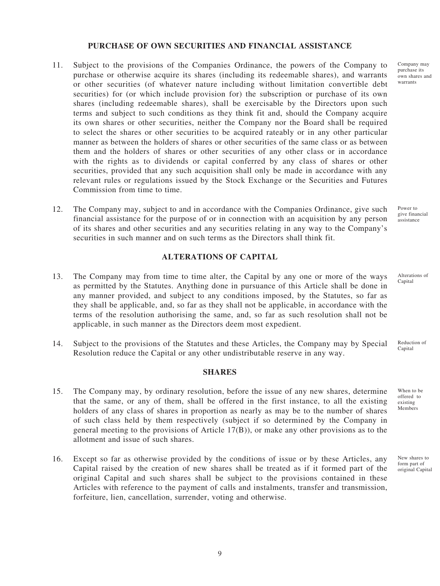### **PURCHASE OF OWN SECURITIES AND FINANCIAL ASSISTANCE**

- 11. Subject to the provisions of the Companies Ordinance, the powers of the Company to purchase or otherwise acquire its shares (including its redeemable shares), and warrants or other securities (of whatever nature including without limitation convertible debt securities) for (or which include provision for) the subscription or purchase of its own shares (including redeemable shares), shall be exercisable by the Directors upon such terms and subject to such conditions as they think fit and, should the Company acquire its own shares or other securities, neither the Company nor the Board shall be required to select the shares or other securities to be acquired rateably or in any other particular manner as between the holders of shares or other securities of the same class or as between them and the holders of shares or other securities of any other class or in accordance with the rights as to dividends or capital conferred by any class of shares or other securities, provided that any such acquisition shall only be made in accordance with any relevant rules or regulations issued by the Stock Exchange or the Securities and Futures Commission from time to time.
- 12. The Company may, subject to and in accordance with the Companies Ordinance, give such financial assistance for the purpose of or in connection with an acquisition by any person of its shares and other securities and any securities relating in any way to the Company's securities in such manner and on such terms as the Directors shall think fit.

#### **ALTERATIONS OF CAPITAL**

- 13. The Company may from time to time alter, the Capital by any one or more of the ways as permitted by the Statutes. Anything done in pursuance of this Article shall be done in any manner provided, and subject to any conditions imposed, by the Statutes, so far as they shall be applicable, and, so far as they shall not be applicable, in accordance with the terms of the resolution authorising the same, and, so far as such resolution shall not be applicable, in such manner as the Directors deem most expedient.
- 14. Subject to the provisions of the Statutes and these Articles, the Company may by Special Resolution reduce the Capital or any other undistributable reserve in any way.

#### **SHARES**

- 15. The Company may, by ordinary resolution, before the issue of any new shares, determine that the same, or any of them, shall be offered in the first instance, to all the existing holders of any class of shares in proportion as nearly as may be to the number of shares of such class held by them respectively (subject if so determined by the Company in general meeting to the provisions of Article 17(B)), or make any other provisions as to the allotment and issue of such shares.
- 16. Except so far as otherwise provided by the conditions of issue or by these Articles, any Capital raised by the creation of new shares shall be treated as if it formed part of the original Capital and such shares shall be subject to the provisions contained in these Articles with reference to the payment of calls and instalments, transfer and transmission, forfeiture, lien, cancellation, surrender, voting and otherwise.

Company may purchase its own shares and warrants

Power to give financial assistance

Alterations of Capital

Reduction of Capital

When to be offered to existing Members

New shares to form part of original Capital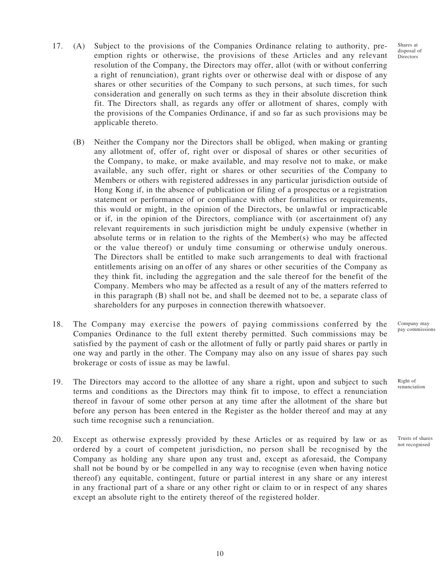Shares at disposal of Directors

- 17. (A) Subject to the provisions of the Companies Ordinance relating to authority, preemption rights or otherwise, the provisions of these Articles and any relevant resolution of the Company, the Directors may offer, allot (with or without conferring a right of renunciation), grant rights over or otherwise deal with or dispose of any shares or other securities of the Company to such persons, at such times, for such consideration and generally on such terms as they in their absolute discretion think fit. The Directors shall, as regards any offer or allotment of shares, comply with the provisions of the Companies Ordinance, if and so far as such provisions may be applicable thereto.
	- (B) Neither the Company nor the Directors shall be obliged, when making or granting any allotment of, offer of, right over or disposal of shares or other securities of the Company, to make, or make available, and may resolve not to make, or make available, any such offer, right or shares or other securities of the Company to Members or others with registered addresses in any particular jurisdiction outside of Hong Kong if, in the absence of publication or filing of a prospectus or a registration statement or performance of or compliance with other formalities or requirements, this would or might, in the opinion of the Directors, be unlawful or impracticable or if, in the opinion of the Directors, compliance with (or ascertainment of) any relevant requirements in such jurisdiction might be unduly expensive (whether in absolute terms or in relation to the rights of the Member(s) who may be affected or the value thereof) or unduly time consuming or otherwise unduly onerous. The Directors shall be entitled to make such arrangements to deal with fractional entitlements arising on an offer of any shares or other securities of the Company as they think fit, including the aggregation and the sale thereof for the benefit of the Company. Members who may be affected as a result of any of the matters referred to in this paragraph (B) shall not be, and shall be deemed not to be, a separate class of shareholders for any purposes in connection therewith whatsoever.
- 18. The Company may exercise the powers of paying commissions conferred by the Companies Ordinance to the full extent thereby permitted. Such commissions may be satisfied by the payment of cash or the allotment of fully or partly paid shares or partly in one way and partly in the other. The Company may also on any issue of shares pay such brokerage or costs of issue as may be lawful.
- 19. The Directors may accord to the allottee of any share a right, upon and subject to such terms and conditions as the Directors may think fit to impose, to effect a renunciation thereof in favour of some other person at any time after the allotment of the share but before any person has been entered in the Register as the holder thereof and may at any such time recognise such a renunciation.
- 20. Except as otherwise expressly provided by these Articles or as required by law or as ordered by a court of competent jurisdiction, no person shall be recognised by the Company as holding any share upon any trust and, except as aforesaid, the Company shall not be bound by or be compelled in any way to recognise (even when having notice thereof) any equitable, contingent, future or partial interest in any share or any interest in any fractional part of a share or any other right or claim to or in respect of any shares except an absolute right to the entirety thereof of the registered holder.

Company may pay commissions

renunciation

Right of

Trusts of shares not recognised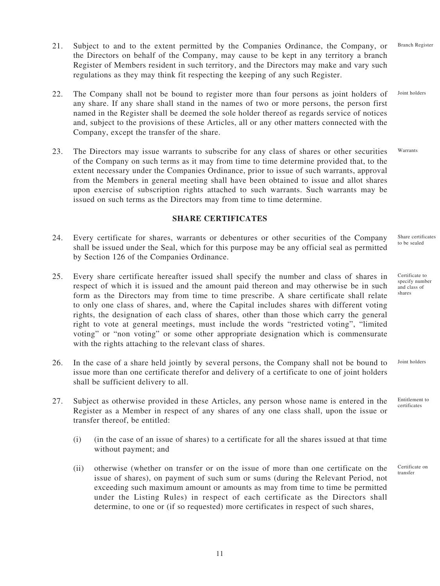22. The Company shall not be bound to register more than four persons as joint holders of any share. If any share shall stand in the names of two or more persons, the person first

21. Subject to and to the extent permitted by the Companies Ordinance, the Company, or the Directors on behalf of the Company, may cause to be kept in any territory a branch Register of Members resident in such territory, and the Directors may make and vary such

regulations as they may think fit respecting the keeping of any such Register.

- named in the Register shall be deemed the sole holder thereof as regards service of notices and, subject to the provisions of these Articles, all or any other matters connected with the Company, except the transfer of the share.
- 23. The Directors may issue warrants to subscribe for any class of shares or other securities of the Company on such terms as it may from time to time determine provided that, to the extent necessary under the Companies Ordinance, prior to issue of such warrants, approval from the Members in general meeting shall have been obtained to issue and allot shares upon exercise of subscription rights attached to such warrants. Such warrants may be issued on such terms as the Directors may from time to time determine.

## **SHARE CERTIFICATES**

- 24. Every certificate for shares, warrants or debentures or other securities of the Company shall be issued under the Seal, which for this purpose may be any official seal as permitted by Section 126 of the Companies Ordinance. Share certificates to be sealed
- 25. Every share certificate hereafter issued shall specify the number and class of shares in respect of which it is issued and the amount paid thereon and may otherwise be in such form as the Directors may from time to time prescribe. A share certificate shall relate to only one class of shares, and, where the Capital includes shares with different voting rights, the designation of each class of shares, other than those which carry the general right to vote at general meetings, must include the words "restricted voting", "limited voting" or "non voting" or some other appropriate designation which is commensurate with the rights attaching to the relevant class of shares.
- 26. In the case of a share held jointly by several persons, the Company shall not be bound to issue more than one certificate therefor and delivery of a certificate to one of joint holders shall be sufficient delivery to all.
- 27. Subject as otherwise provided in these Articles, any person whose name is entered in the Register as a Member in respect of any shares of any one class shall, upon the issue or transfer thereof, be entitled:
	- (i) (in the case of an issue of shares) to a certificate for all the shares issued at that time without payment; and
	- (ii) otherwise (whether on transfer or on the issue of more than one certificate on the issue of shares), on payment of such sum or sums (during the Relevant Period, not exceeding such maximum amount or amounts as may from time to time be permitted under the Listing Rules) in respect of each certificate as the Directors shall determine, to one or (if so requested) more certificates in respect of such shares,

Certificate to specify number and class of shares

Joint holders

Entitlement to certificates

Certificate on transfer

Branch Register

Joint holders

Warrants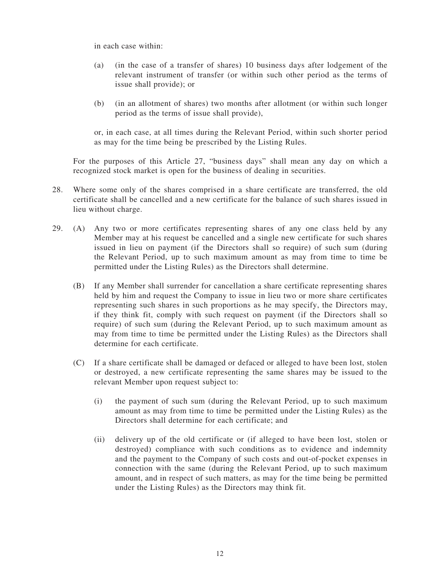in each case within:

- (a) (in the case of a transfer of shares) 10 business days after lodgement of the relevant instrument of transfer (or within such other period as the terms of issue shall provide); or
- (b) (in an allotment of shares) two months after allotment (or within such longer period as the terms of issue shall provide),

or, in each case, at all times during the Relevant Period, within such shorter period as may for the time being be prescribed by the Listing Rules.

For the purposes of this Article 27, "business days" shall mean any day on which a recognized stock market is open for the business of dealing in securities.

- 28. Where some only of the shares comprised in a share certificate are transferred, the old certificate shall be cancelled and a new certificate for the balance of such shares issued in lieu without charge.
- 29. (A) Any two or more certificates representing shares of any one class held by any Member may at his request be cancelled and a single new certificate for such shares issued in lieu on payment (if the Directors shall so require) of such sum (during the Relevant Period, up to such maximum amount as may from time to time be permitted under the Listing Rules) as the Directors shall determine.
	- (B) If any Member shall surrender for cancellation a share certificate representing shares held by him and request the Company to issue in lieu two or more share certificates representing such shares in such proportions as he may specify, the Directors may, if they think fit, comply with such request on payment (if the Directors shall so require) of such sum (during the Relevant Period, up to such maximum amount as may from time to time be permitted under the Listing Rules) as the Directors shall determine for each certificate.
	- (C) If a share certificate shall be damaged or defaced or alleged to have been lost, stolen or destroyed, a new certificate representing the same shares may be issued to the relevant Member upon request subject to:
		- (i) the payment of such sum (during the Relevant Period, up to such maximum amount as may from time to time be permitted under the Listing Rules) as the Directors shall determine for each certificate; and
		- (ii) delivery up of the old certificate or (if alleged to have been lost, stolen or destroyed) compliance with such conditions as to evidence and indemnity and the payment to the Company of such costs and out-of-pocket expenses in connection with the same (during the Relevant Period, up to such maximum amount, and in respect of such matters, as may for the time being be permitted under the Listing Rules) as the Directors may think fit.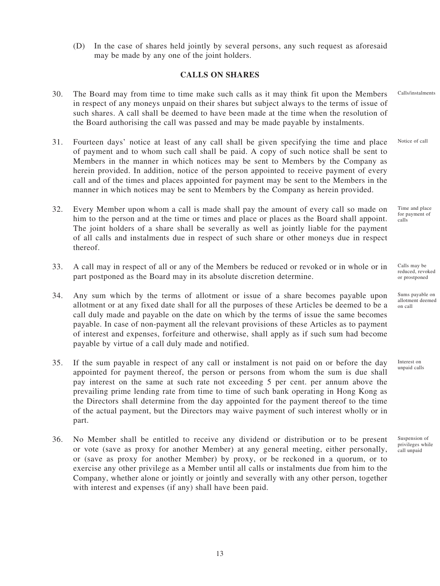(D) In the case of shares held jointly by several persons, any such request as aforesaid may be made by any one of the joint holders.

## **CALLS ON SHARES**

- 30. The Board may from time to time make such calls as it may think fit upon the Members in respect of any moneys unpaid on their shares but subject always to the terms of issue of such shares. A call shall be deemed to have been made at the time when the resolution of the Board authorising the call was passed and may be made payable by instalments. Calls/instalments
- 31. Fourteen days' notice at least of any call shall be given specifying the time and place of payment and to whom such call shall be paid. A copy of such notice shall be sent to Members in the manner in which notices may be sent to Members by the Company as herein provided. In addition, notice of the person appointed to receive payment of every call and of the times and places appointed for payment may be sent to the Members in the manner in which notices may be sent to Members by the Company as herein provided. Notice of call
- 32. Every Member upon whom a call is made shall pay the amount of every call so made on him to the person and at the time or times and place or places as the Board shall appoint. The joint holders of a share shall be severally as well as jointly liable for the payment of all calls and instalments due in respect of such share or other moneys due in respect thereof.
- 33. A call may in respect of all or any of the Members be reduced or revoked or in whole or in part postponed as the Board may in its absolute discretion determine.
- 34. Any sum which by the terms of allotment or issue of a share becomes payable upon allotment or at any fixed date shall for all the purposes of these Articles be deemed to be a call duly made and payable on the date on which by the terms of issue the same becomes payable. In case of non-payment all the relevant provisions of these Articles as to payment of interest and expenses, forfeiture and otherwise, shall apply as if such sum had become payable by virtue of a call duly made and notified.
- 35. If the sum payable in respect of any call or instalment is not paid on or before the day appointed for payment thereof, the person or persons from whom the sum is due shall pay interest on the same at such rate not exceeding 5 per cent. per annum above the prevailing prime lending rate from time to time of such bank operating in Hong Kong as the Directors shall determine from the day appointed for the payment thereof to the time of the actual payment, but the Directors may waive payment of such interest wholly or in part.
- 36. No Member shall be entitled to receive any dividend or distribution or to be present or vote (save as proxy for another Member) at any general meeting, either personally, or (save as proxy for another Member) by proxy, or be reckoned in a quorum, or to exercise any other privilege as a Member until all calls or instalments due from him to the Company, whether alone or jointly or jointly and severally with any other person, together with interest and expenses (if any) shall have been paid.

Time and place for payment of calls

Calls may be reduced, revoked or prostponed

Sums payable on allotment deemed on call

Interest on unpaid calls

Suspension of privileges while call unpaid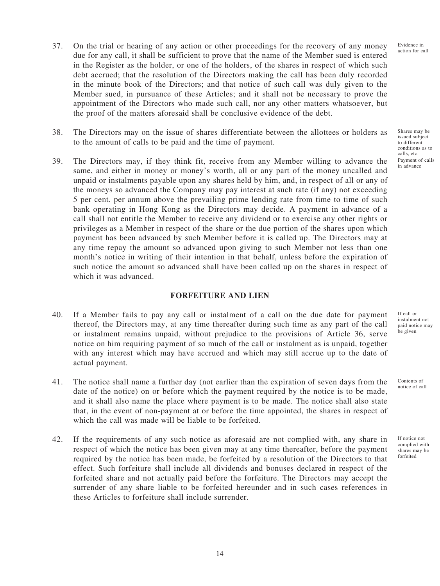Evidence in action for call

- 37. On the trial or hearing of any action or other proceedings for the recovery of any money due for any call, it shall be sufficient to prove that the name of the Member sued is entered in the Register as the holder, or one of the holders, of the shares in respect of which such debt accrued; that the resolution of the Directors making the call has been duly recorded in the minute book of the Directors; and that notice of such call was duly given to the Member sued, in pursuance of these Articles; and it shall not be necessary to prove the appointment of the Directors who made such call, nor any other matters whatsoever, but the proof of the matters aforesaid shall be conclusive evidence of the debt.
- 38. The Directors may on the issue of shares differentiate between the allottees or holders as to the amount of calls to be paid and the time of payment.
- 39. The Directors may, if they think fit, receive from any Member willing to advance the same, and either in money or money's worth, all or any part of the money uncalled and unpaid or instalments payable upon any shares held by him, and, in respect of all or any of the moneys so advanced the Company may pay interest at such rate (if any) not exceeding 5 per cent. per annum above the prevailing prime lending rate from time to time of such bank operating in Hong Kong as the Directors may decide. A payment in advance of a call shall not entitle the Member to receive any dividend or to exercise any other rights or privileges as a Member in respect of the share or the due portion of the shares upon which payment has been advanced by such Member before it is called up. The Directors may at any time repay the amount so advanced upon giving to such Member not less than one month's notice in writing of their intention in that behalf, unless before the expiration of such notice the amount so advanced shall have been called up on the shares in respect of which it was advanced.

### **FORFEITURE AND LIEN**

- 40. If a Member fails to pay any call or instalment of a call on the due date for payment thereof, the Directors may, at any time thereafter during such time as any part of the call or instalment remains unpaid, without prejudice to the provisions of Article 36, serve notice on him requiring payment of so much of the call or instalment as is unpaid, together with any interest which may have accrued and which may still accrue up to the date of actual payment.
- 41. The notice shall name a further day (not earlier than the expiration of seven days from the date of the notice) on or before which the payment required by the notice is to be made, and it shall also name the place where payment is to be made. The notice shall also state that, in the event of non-payment at or before the time appointed, the shares in respect of which the call was made will be liable to be forfeited.
- 42. If the requirements of any such notice as aforesaid are not complied with, any share in respect of which the notice has been given may at any time thereafter, before the payment required by the notice has been made, be forfeited by a resolution of the Directors to that effect. Such forfeiture shall include all dividends and bonuses declared in respect of the forfeited share and not actually paid before the forfeiture. The Directors may accept the surrender of any share liable to be forfeited hereunder and in such cases references in these Articles to forfeiture shall include surrender.

Shares may be issued subject to different conditions as to calls, etc. Payment of calls in advance

If call or instalment not paid notice may be given

Contents of notice of call

If notice not complied with shares may be forfeited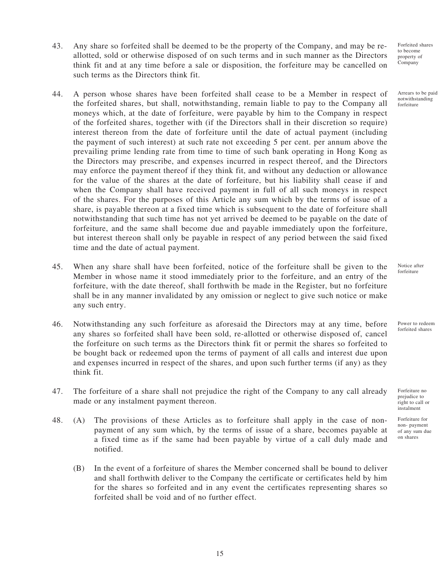- 43. Any share so forfeited shall be deemed to be the property of the Company, and may be reallotted, sold or otherwise disposed of on such terms and in such manner as the Directors think fit and at any time before a sale or disposition, the forfeiture may be cancelled on such terms as the Directors think fit.
- 44. A person whose shares have been forfeited shall cease to be a Member in respect of the forfeited shares, but shall, notwithstanding, remain liable to pay to the Company all moneys which, at the date of forfeiture, were payable by him to the Company in respect of the forfeited shares, together with (if the Directors shall in their discretion so require) interest thereon from the date of forfeiture until the date of actual payment (including the payment of such interest) at such rate not exceeding 5 per cent. per annum above the prevailing prime lending rate from time to time of such bank operating in Hong Kong as the Directors may prescribe, and expenses incurred in respect thereof, and the Directors may enforce the payment thereof if they think fit, and without any deduction or allowance for the value of the shares at the date of forfeiture, but his liability shall cease if and when the Company shall have received payment in full of all such moneys in respect of the shares. For the purposes of this Article any sum which by the terms of issue of a share, is payable thereon at a fixed time which is subsequent to the date of forfeiture shall notwithstanding that such time has not yet arrived be deemed to be payable on the date of forfeiture, and the same shall become due and payable immediately upon the forfeiture, but interest thereon shall only be payable in respect of any period between the said fixed time and the date of actual payment.
- 45. When any share shall have been forfeited, notice of the forfeiture shall be given to the Member in whose name it stood immediately prior to the forfeiture, and an entry of the forfeiture, with the date thereof, shall forthwith be made in the Register, but no forfeiture shall be in any manner invalidated by any omission or neglect to give such notice or make any such entry.
- 46. Notwithstanding any such forfeiture as aforesaid the Directors may at any time, before any shares so forfeited shall have been sold, re-allotted or otherwise disposed of, cancel the forfeiture on such terms as the Directors think fit or permit the shares so forfeited to be bought back or redeemed upon the terms of payment of all calls and interest due upon and expenses incurred in respect of the shares, and upon such further terms (if any) as they think fit.
- 47. The forfeiture of a share shall not prejudice the right of the Company to any call already made or any instalment payment thereon.
- 48. (A) The provisions of these Articles as to forfeiture shall apply in the case of nonpayment of any sum which, by the terms of issue of a share, becomes payable at a fixed time as if the same had been payable by virtue of a call duly made and notified.
	- (B) In the event of a forfeiture of shares the Member concerned shall be bound to deliver and shall forthwith deliver to the Company the certificate or certificates held by him for the shares so forfeited and in any event the certificates representing shares so forfeited shall be void and of no further effect.

Forfeited shares to become property of .<br>Company

Arrears to be paid notwithstanding forfeiture

Notice after forfeiture

Power to redeem forfeited shares

Forfeiture no prejudice to right to call or instalment

Forfeiture for non- payment of any sum due on shares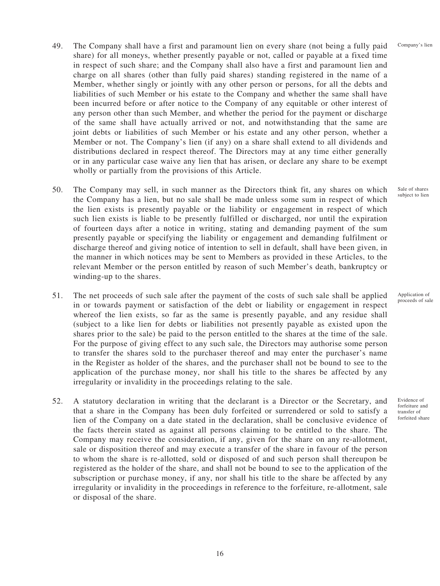- 49. The Company shall have a first and paramount lien on every share (not being a fully paid share) for all moneys, whether presently payable or not, called or payable at a fixed time in respect of such share; and the Company shall also have a first and paramount lien and charge on all shares (other than fully paid shares) standing registered in the name of a Member, whether singly or jointly with any other person or persons, for all the debts and liabilities of such Member or his estate to the Company and whether the same shall have been incurred before or after notice to the Company of any equitable or other interest of any person other than such Member, and whether the period for the payment or discharge of the same shall have actually arrived or not, and notwithstanding that the same are joint debts or liabilities of such Member or his estate and any other person, whether a Member or not. The Company's lien (if any) on a share shall extend to all dividends and distributions declared in respect thereof. The Directors may at any time either generally or in any particular case waive any lien that has arisen, or declare any share to be exempt wholly or partially from the provisions of this Article.
- 50. The Company may sell, in such manner as the Directors think fit, any shares on which the Company has a lien, but no sale shall be made unless some sum in respect of which the lien exists is presently payable or the liability or engagement in respect of which such lien exists is liable to be presently fulfilled or discharged, nor until the expiration of fourteen days after a notice in writing, stating and demanding payment of the sum presently payable or specifying the liability or engagement and demanding fulfilment or discharge thereof and giving notice of intention to sell in default, shall have been given, in the manner in which notices may be sent to Members as provided in these Articles, to the relevant Member or the person entitled by reason of such Member's death, bankruptcy or winding-up to the shares.
- 51. The net proceeds of such sale after the payment of the costs of such sale shall be applied in or towards payment or satisfaction of the debt or liability or engagement in respect whereof the lien exists, so far as the same is presently payable, and any residue shall (subject to a like lien for debts or liabilities not presently payable as existed upon the shares prior to the sale) be paid to the person entitled to the shares at the time of the sale. For the purpose of giving effect to any such sale, the Directors may authorise some person to transfer the shares sold to the purchaser thereof and may enter the purchaser's name in the Register as holder of the shares, and the purchaser shall not be bound to see to the application of the purchase money, nor shall his title to the shares be affected by any irregularity or invalidity in the proceedings relating to the sale.
- 52. A statutory declaration in writing that the declarant is a Director or the Secretary, and that a share in the Company has been duly forfeited or surrendered or sold to satisfy a lien of the Company on a date stated in the declaration, shall be conclusive evidence of the facts therein stated as against all persons claiming to be entitled to the share. The Company may receive the consideration, if any, given for the share on any re-allotment, sale or disposition thereof and may execute a transfer of the share in favour of the person to whom the share is re-allotted, sold or disposed of and such person shall thereupon be registered as the holder of the share, and shall not be bound to see to the application of the subscription or purchase money, if any, nor shall his title to the share be affected by any irregularity or invalidity in the proceedings in reference to the forfeiture, re-allotment, sale or disposal of the share.

Application of proceeds of sale

Sale of shares subject to lien

Company's lien

Evidence of forfeiture and transfer of forfeited share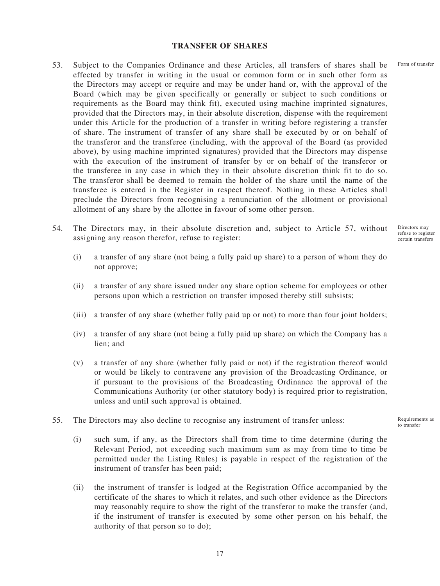#### **TRANSFER OF SHARES**

- 53. Subject to the Companies Ordinance and these Articles, all transfers of shares shall be effected by transfer in writing in the usual or common form or in such other form as the Directors may accept or require and may be under hand or, with the approval of the Board (which may be given specifically or generally or subject to such conditions or requirements as the Board may think fit), executed using machine imprinted signatures, provided that the Directors may, in their absolute discretion, dispense with the requirement under this Article for the production of a transfer in writing before registering a transfer of share. The instrument of transfer of any share shall be executed by or on behalf of the transferor and the transferee (including, with the approval of the Board (as provided above), by using machine imprinted signatures) provided that the Directors may dispense with the execution of the instrument of transfer by or on behalf of the transferor or the transferee in any case in which they in their absolute discretion think fit to do so. The transferor shall be deemed to remain the holder of the share until the name of the transferee is entered in the Register in respect thereof. Nothing in these Articles shall preclude the Directors from recognising a renunciation of the allotment or provisional allotment of any share by the allottee in favour of some other person.
- 54. The Directors may, in their absolute discretion and, subject to Article 57, without assigning any reason therefor, refuse to register:
	- (i) a transfer of any share (not being a fully paid up share) to a person of whom they do not approve;
	- (ii) a transfer of any share issued under any share option scheme for employees or other persons upon which a restriction on transfer imposed thereby still subsists;
	- (iii) a transfer of any share (whether fully paid up or not) to more than four joint holders;
	- (iv) a transfer of any share (not being a fully paid up share) on which the Company has a lien; and
	- (v) a transfer of any share (whether fully paid or not) if the registration thereof would or would be likely to contravene any provision of the Broadcasting Ordinance, or if pursuant to the provisions of the Broadcasting Ordinance the approval of the Communications Authority (or other statutory body) is required prior to registration, unless and until such approval is obtained.
- 55. The Directors may also decline to recognise any instrument of transfer unless:
	- (i) such sum, if any, as the Directors shall from time to time determine (during the Relevant Period, not exceeding such maximum sum as may from time to time be permitted under the Listing Rules) is payable in respect of the registration of the instrument of transfer has been paid;
	- (ii) the instrument of transfer is lodged at the Registration Office accompanied by the certificate of the shares to which it relates, and such other evidence as the Directors may reasonably require to show the right of the transferor to make the transfer (and, if the instrument of transfer is executed by some other person on his behalf, the authority of that person so to do);

Form of transfer

Directors may refuse to register certain transfers

Requirements as to transfer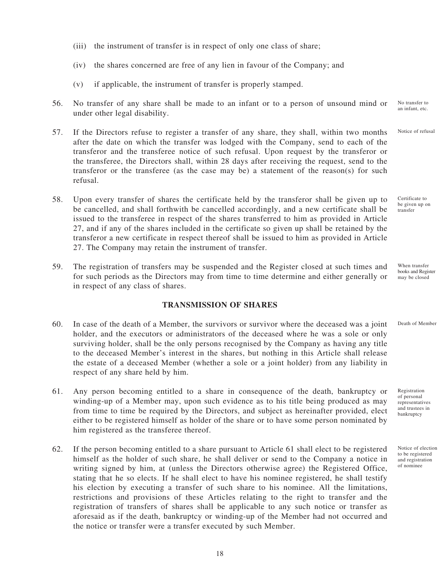- (iii) the instrument of transfer is in respect of only one class of share;
- (iv) the shares concerned are free of any lien in favour of the Company; and
- (v) if applicable, the instrument of transfer is properly stamped.
- 56. No transfer of any share shall be made to an infant or to a person of unsound mind or under other legal disability. No transfer to an infant, etc.
- 57. If the Directors refuse to register a transfer of any share, they shall, within two months after the date on which the transfer was lodged with the Company, send to each of the transferor and the transferee notice of such refusal. Upon request by the transferor or the transferee, the Directors shall, within 28 days after receiving the request, send to the transferor or the transferee (as the case may be) a statement of the reason(s) for such refusal.
- 58. Upon every transfer of shares the certificate held by the transferor shall be given up to be cancelled, and shall forthwith be cancelled accordingly, and a new certificate shall be issued to the transferee in respect of the shares transferred to him as provided in Article 27, and if any of the shares included in the certificate so given up shall be retained by the transferor a new certificate in respect thereof shall be issued to him as provided in Article 27. The Company may retain the instrument of transfer.
- 59. The registration of transfers may be suspended and the Register closed at such times and for such periods as the Directors may from time to time determine and either generally or in respect of any class of shares.

#### **TRANSMISSION OF SHARES**

- 60. In case of the death of a Member, the survivors or survivor where the deceased was a joint holder, and the executors or administrators of the deceased where he was a sole or only surviving holder, shall be the only persons recognised by the Company as having any title to the deceased Member's interest in the shares, but nothing in this Article shall release the estate of a deceased Member (whether a sole or a joint holder) from any liability in respect of any share held by him.
- 61. Any person becoming entitled to a share in consequence of the death, bankruptcy or winding-up of a Member may, upon such evidence as to his title being produced as may from time to time be required by the Directors, and subject as hereinafter provided, elect either to be registered himself as holder of the share or to have some person nominated by him registered as the transferee thereof.
- 62. If the person becoming entitled to a share pursuant to Article 61 shall elect to be registered himself as the holder of such share, he shall deliver or send to the Company a notice in writing signed by him, at (unless the Directors otherwise agree) the Registered Office, stating that he so elects. If he shall elect to have his nominee registered, he shall testify his election by executing a transfer of such share to his nominee. All the limitations, restrictions and provisions of these Articles relating to the right to transfer and the registration of transfers of shares shall be applicable to any such notice or transfer as aforesaid as if the death, bankruptcy or winding-up of the Member had not occurred and the notice or transfer were a transfer executed by such Member.

Notice of refusal

Certificate to be given up on transfer

When transfer books and Register may be closed

Death of Member

Registration of personal representatives and trustees in bankruptcy

Notice of election to be registered and registration of nominee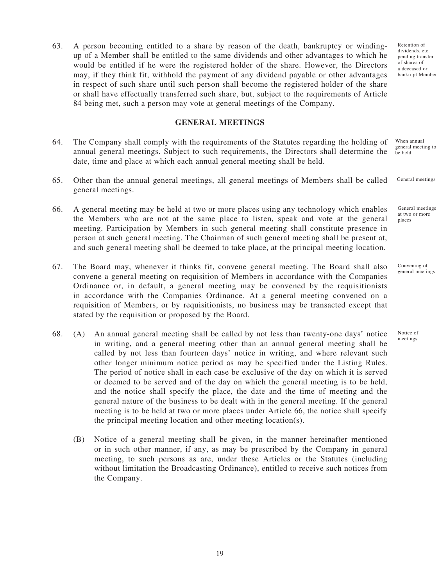63. A person becoming entitled to a share by reason of the death, bankruptcy or windingup of a Member shall be entitled to the same dividends and other advantages to which he would be entitled if he were the registered holder of the share. However, the Directors may, if they think fit, withhold the payment of any dividend payable or other advantages in respect of such share until such person shall become the registered holder of the share or shall have effectually transferred such share, but, subject to the requirements of Article 84 being met, such a person may vote at general meetings of the Company.

### **GENERAL MEETINGS**

- 64. The Company shall comply with the requirements of the Statutes regarding the holding of annual general meetings. Subject to such requirements, the Directors shall determine the date, time and place at which each annual general meeting shall be held. be held
- 65. Other than the annual general meetings, all general meetings of Members shall be called general meetings. General meetings
- 66. A general meeting may be held at two or more places using any technology which enables the Members who are not at the same place to listen, speak and vote at the general meeting. Participation by Members in such general meeting shall constitute presence in person at such general meeting. The Chairman of such general meeting shall be present at, and such general meeting shall be deemed to take place, at the principal meeting location. at two or more places
- 67. The Board may, whenever it thinks fit, convene general meeting. The Board shall also convene a general meeting on requisition of Members in accordance with the Companies Ordinance or, in default, a general meeting may be convened by the requisitionists in accordance with the Companies Ordinance. At a general meeting convened on a requisition of Members, or by requisitionists, no business may be transacted except that stated by the requisition or proposed by the Board.
- 68. (A) An annual general meeting shall be called by not less than twenty-one days' notice in writing, and a general meeting other than an annual general meeting shall be called by not less than fourteen days' notice in writing, and where relevant such other longer minimum notice period as may be specified under the Listing Rules. The period of notice shall in each case be exclusive of the day on which it is served or deemed to be served and of the day on which the general meeting is to be held, and the notice shall specify the place, the date and the time of meeting and the general nature of the business to be dealt with in the general meeting. If the general meeting is to be held at two or more places under Article 66, the notice shall specify the principal meeting location and other meeting location(s).
	- (B) Notice of a general meeting shall be given, in the manner hereinafter mentioned or in such other manner, if any, as may be prescribed by the Company in general meeting, to such persons as are, under these Articles or the Statutes (including without limitation the Broadcasting Ordinance), entitled to receive such notices from the Company.

Retention of dividends, etc. pending transfer of shares of a deceased or bankrupt Member

When annual general meeting to

General meetings

general meetings

Convening of

Notice of meetings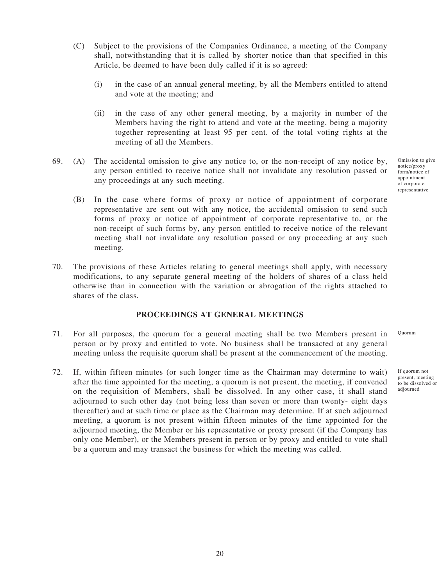- (C) Subject to the provisions of the Companies Ordinance, a meeting of the Company shall, notwithstanding that it is called by shorter notice than that specified in this Article, be deemed to have been duly called if it is so agreed:
	- (i) in the case of an annual general meeting, by all the Members entitled to attend and vote at the meeting; and
	- (ii) in the case of any other general meeting, by a majority in number of the Members having the right to attend and vote at the meeting, being a majority together representing at least 95 per cent. of the total voting rights at the meeting of all the Members.
- 69. (A) The accidental omission to give any notice to, or the non-receipt of any notice by, any person entitled to receive notice shall not invalidate any resolution passed or any proceedings at any such meeting.
	- (B) In the case where forms of proxy or notice of appointment of corporate representative are sent out with any notice, the accidental omission to send such forms of proxy or notice of appointment of corporate representative to, or the non-receipt of such forms by, any person entitled to receive notice of the relevant meeting shall not invalidate any resolution passed or any proceeding at any such meeting.
- 70. The provisions of these Articles relating to general meetings shall apply, with necessary modifications, to any separate general meeting of the holders of shares of a class held otherwise than in connection with the variation or abrogation of the rights attached to shares of the class.

### **PROCEEDINGS AT GENERAL MEETINGS**

- 71. For all purposes, the quorum for a general meeting shall be two Members present in person or by proxy and entitled to vote. No business shall be transacted at any general meeting unless the requisite quorum shall be present at the commencement of the meeting.
- 72. If, within fifteen minutes (or such longer time as the Chairman may determine to wait) after the time appointed for the meeting, a quorum is not present, the meeting, if convened on the requisition of Members, shall be dissolved. In any other case, it shall stand adjourned to such other day (not being less than seven or more than twenty- eight days thereafter) and at such time or place as the Chairman may determine. If at such adjourned meeting, a quorum is not present within fifteen minutes of the time appointed for the adjourned meeting, the Member or his representative or proxy present (if the Company has only one Member), or the Members present in person or by proxy and entitled to vote shall be a quorum and may transact the business for which the meeting was called.

Omission to give notice/proxy form/notice of appointment of corporate representative

Quorum

If quorum not present, meeting to be dissolved or adjourned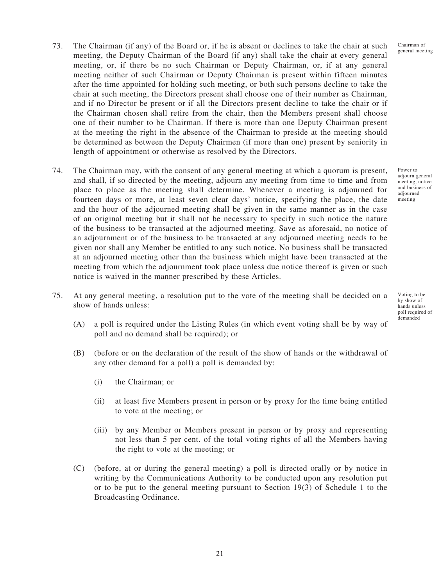Chairman of general meeting

- 73. The Chairman (if any) of the Board or, if he is absent or declines to take the chair at such meeting, the Deputy Chairman of the Board (if any) shall take the chair at every general meeting, or, if there be no such Chairman or Deputy Chairman, or, if at any general meeting neither of such Chairman or Deputy Chairman is present within fifteen minutes after the time appointed for holding such meeting, or both such persons decline to take the chair at such meeting, the Directors present shall choose one of their number as Chairman, and if no Director be present or if all the Directors present decline to take the chair or if the Chairman chosen shall retire from the chair, then the Members present shall choose one of their number to be Chairman. If there is more than one Deputy Chairman present at the meeting the right in the absence of the Chairman to preside at the meeting should be determined as between the Deputy Chairmen (if more than one) present by seniority in length of appointment or otherwise as resolved by the Directors.
- 74. The Chairman may, with the consent of any general meeting at which a quorum is present, and shall, if so directed by the meeting, adjourn any meeting from time to time and from place to place as the meeting shall determine. Whenever a meeting is adjourned for fourteen days or more, at least seven clear days' notice, specifying the place, the date and the hour of the adjourned meeting shall be given in the same manner as in the case of an original meeting but it shall not be necessary to specify in such notice the nature of the business to be transacted at the adjourned meeting. Save as aforesaid, no notice of an adjournment or of the business to be transacted at any adjourned meeting needs to be given nor shall any Member be entitled to any such notice. No business shall be transacted at an adjourned meeting other than the business which might have been transacted at the meeting from which the adjournment took place unless due notice thereof is given or such notice is waived in the manner prescribed by these Articles.
- 75. At any general meeting, a resolution put to the vote of the meeting shall be decided on a show of hands unless:
	- (A) a poll is required under the Listing Rules (in which event voting shall be by way of poll and no demand shall be required); or
	- (B) (before or on the declaration of the result of the show of hands or the withdrawal of any other demand for a poll) a poll is demanded by:
		- (i) the Chairman; or
		- (ii) at least five Members present in person or by proxy for the time being entitled to vote at the meeting; or
		- (iii) by any Member or Members present in person or by proxy and representing not less than 5 per cent. of the total voting rights of all the Members having the right to vote at the meeting; or
	- (C) (before, at or during the general meeting) a poll is directed orally or by notice in writing by the Communications Authority to be conducted upon any resolution put or to be put to the general meeting pursuant to Section 19(3) of Schedule 1 to the Broadcasting Ordinance.

Power to adjourn general meeting, notice and business of adjourned meeting

Voting to be by show of hands unless poll required of demanded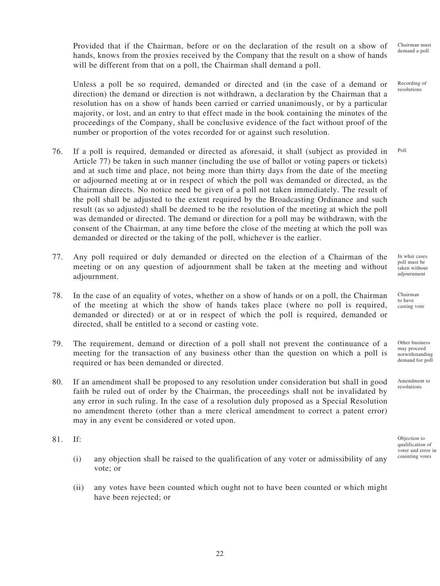Provided that if the Chairman, before or on the declaration of the result on a show of hands, knows from the proxies received by the Company that the result on a show of hands will be different from that on a poll, the Chairman shall demand a poll. Chairman must demand a poll

Unless a poll be so required, demanded or directed and (in the case of a demand or direction) the demand or direction is not withdrawn, a declaration by the Chairman that a resolution has on a show of hands been carried or carried unanimously, or by a particular majority, or lost, and an entry to that effect made in the book containing the minutes of the proceedings of the Company, shall be conclusive evidence of the fact without proof of the number or proportion of the votes recorded for or against such resolution. Recording of resolutions

- 76. If a poll is required, demanded or directed as aforesaid, it shall (subject as provided in Article 77) be taken in such manner (including the use of ballot or voting papers or tickets) and at such time and place, not being more than thirty days from the date of the meeting or adjourned meeting at or in respect of which the poll was demanded or directed, as the Chairman directs. No notice need be given of a poll not taken immediately. The result of the poll shall be adjusted to the extent required by the Broadcasting Ordinance and such result (as so adjusted) shall be deemed to be the resolution of the meeting at which the poll was demanded or directed. The demand or direction for a poll may be withdrawn, with the consent of the Chairman, at any time before the close of the meeting at which the poll was demanded or directed or the taking of the poll, whichever is the earlier. Poll
- 77. Any poll required or duly demanded or directed on the election of a Chairman of the meeting or on any question of adjournment shall be taken at the meeting and without adjournment.
- 78. In the case of an equality of votes, whether on a show of hands or on a poll, the Chairman of the meeting at which the show of hands takes place (where no poll is required, demanded or directed) or at or in respect of which the poll is required, demanded or directed, shall be entitled to a second or casting vote.
- 79. The requirement, demand or direction of a poll shall not prevent the continuance of a meeting for the transaction of any business other than the question on which a poll is required or has been demanded or directed.
- 80. If an amendment shall be proposed to any resolution under consideration but shall in good faith be ruled out of order by the Chairman, the proceedings shall not be invalidated by any error in such ruling. In the case of a resolution duly proposed as a Special Resolution no amendment thereto (other than a mere clerical amendment to correct a patent error) may in any event be considered or voted upon.
- 81. If:
	- (i) any objection shall be raised to the qualification of any voter or admissibility of any vote; or
	- (ii) any votes have been counted which ought not to have been counted or which might have been rejected; or

In what cases poll must be taken without adjournment

Chairman to have casting vote

Other business may proceed notwithstanding demand for poll

Amendment to resolutions

Objection to qualification of voter and error in couinting votes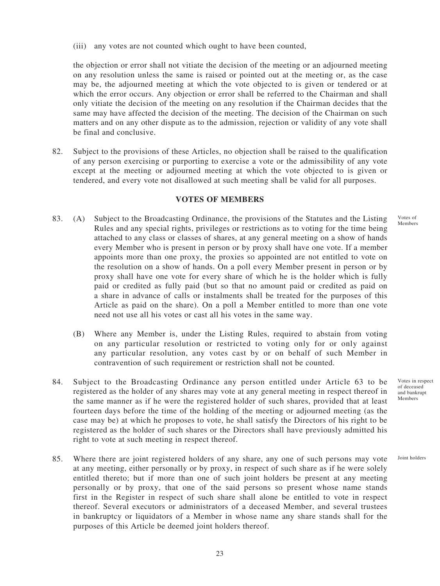(iii) any votes are not counted which ought to have been counted,

the objection or error shall not vitiate the decision of the meeting or an adjourned meeting on any resolution unless the same is raised or pointed out at the meeting or, as the case may be, the adjourned meeting at which the vote objected to is given or tendered or at which the error occurs. Any objection or error shall be referred to the Chairman and shall only vitiate the decision of the meeting on any resolution if the Chairman decides that the same may have affected the decision of the meeting. The decision of the Chairman on such matters and on any other dispute as to the admission, rejection or validity of any vote shall be final and conclusive.

82. Subject to the provisions of these Articles, no objection shall be raised to the qualification of any person exercising or purporting to exercise a vote or the admissibility of any vote except at the meeting or adjourned meeting at which the vote objected to is given or tendered, and every vote not disallowed at such meeting shall be valid for all purposes.

### **VOTES OF MEMBERS**

- 83. (A) Subject to the Broadcasting Ordinance, the provisions of the Statutes and the Listing Rules and any special rights, privileges or restrictions as to voting for the time being attached to any class or classes of shares, at any general meeting on a show of hands every Member who is present in person or by proxy shall have one vote. If a member appoints more than one proxy, the proxies so appointed are not entitled to vote on the resolution on a show of hands. On a poll every Member present in person or by proxy shall have one vote for every share of which he is the holder which is fully paid or credited as fully paid (but so that no amount paid or credited as paid on a share in advance of calls or instalments shall be treated for the purposes of this Article as paid on the share). On a poll a Member entitled to more than one vote need not use all his votes or cast all his votes in the same way.
	- (B) Where any Member is, under the Listing Rules, required to abstain from voting on any particular resolution or restricted to voting only for or only against any particular resolution, any votes cast by or on behalf of such Member in contravention of such requirement or restriction shall not be counted.
- 84. Subject to the Broadcasting Ordinance any person entitled under Article 63 to be registered as the holder of any shares may vote at any general meeting in respect thereof in the same manner as if he were the registered holder of such shares, provided that at least fourteen days before the time of the holding of the meeting or adjourned meeting (as the case may be) at which he proposes to vote, he shall satisfy the Directors of his right to be registered as the holder of such shares or the Directors shall have previously admitted his right to vote at such meeting in respect thereof.
- 85. Where there are joint registered holders of any share, any one of such persons may vote at any meeting, either personally or by proxy, in respect of such share as if he were solely entitled thereto; but if more than one of such joint holders be present at any meeting personally or by proxy, that one of the said persons so present whose name stands first in the Register in respect of such share shall alone be entitled to vote in respect thereof. Several executors or administrators of a deceased Member, and several trustees in bankruptcy or liquidators of a Member in whose name any share stands shall for the purposes of this Article be deemed joint holders thereof.

Votes in respect of deceased and bankrupt Members

Joint holders

Votes of Members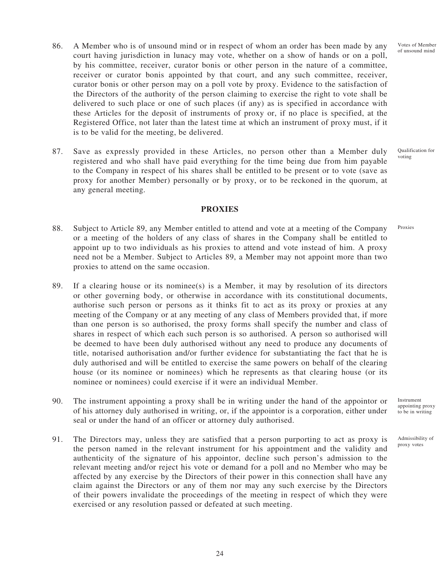- 86. A Member who is of unsound mind or in respect of whom an order has been made by any court having jurisdiction in lunacy may vote, whether on a show of hands or on a poll, by his committee, receiver, curator bonis or other person in the nature of a committee, receiver or curator bonis appointed by that court, and any such committee, receiver, curator bonis or other person may on a poll vote by proxy. Evidence to the satisfaction of the Directors of the authority of the person claiming to exercise the right to vote shall be delivered to such place or one of such places (if any) as is specified in accordance with these Articles for the deposit of instruments of proxy or, if no place is specified, at the Registered Office, not later than the latest time at which an instrument of proxy must, if it is to be valid for the meeting, be delivered.
- 87. Save as expressly provided in these Articles, no person other than a Member duly registered and who shall have paid everything for the time being due from him payable to the Company in respect of his shares shall be entitled to be present or to vote (save as proxy for another Member) personally or by proxy, or to be reckoned in the quorum, at any general meeting.

### **PROXIES**

- 88. Subject to Article 89, any Member entitled to attend and vote at a meeting of the Company or a meeting of the holders of any class of shares in the Company shall be entitled to appoint up to two individuals as his proxies to attend and vote instead of him. A proxy need not be a Member. Subject to Articles 89, a Member may not appoint more than two proxies to attend on the same occasion.
- 89. If a clearing house or its nominee(s) is a Member, it may by resolution of its directors or other governing body, or otherwise in accordance with its constitutional documents, authorise such person or persons as it thinks fit to act as its proxy or proxies at any meeting of the Company or at any meeting of any class of Members provided that, if more than one person is so authorised, the proxy forms shall specify the number and class of shares in respect of which each such person is so authorised. A person so authorised will be deemed to have been duly authorised without any need to produce any documents of title, notarised authorisation and/or further evidence for substantiating the fact that he is duly authorised and will be entitled to exercise the same powers on behalf of the clearing house (or its nominee or nominees) which he represents as that clearing house (or its nominee or nominees) could exercise if it were an individual Member.
- 90. The instrument appointing a proxy shall be in writing under the hand of the appointor or of his attorney duly authorised in writing, or, if the appointor is a corporation, either under seal or under the hand of an officer or attorney duly authorised.
- 91. The Directors may, unless they are satisfied that a person purporting to act as proxy is the person named in the relevant instrument for his appointment and the validity and authenticity of the signature of his appointor, decline such person's admission to the relevant meeting and/or reject his vote or demand for a poll and no Member who may be affected by any exercise by the Directors of their power in this connection shall have any claim against the Directors or any of them nor may any such exercise by the Directors of their powers invalidate the proceedings of the meeting in respect of which they were exercised or any resolution passed or defeated at such meeting.

24

Instrument appointing proxy to be in writing

Admissibility of proxy votes

Votes of Member of unsound mind

Qualification for voting

Proxies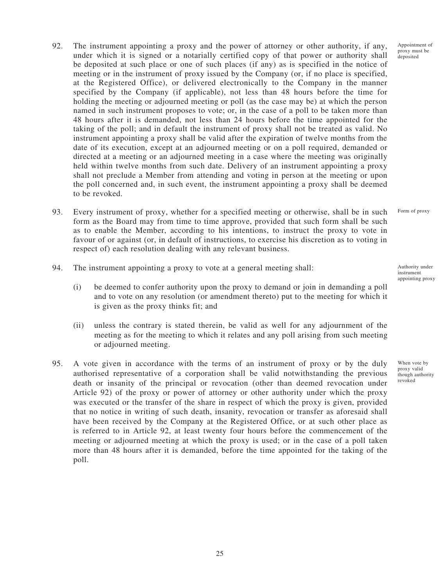- 92. The instrument appointing a proxy and the power of attorney or other authority, if any, under which it is signed or a notarially certified copy of that power or authority shall be deposited at such place or one of such places (if any) as is specified in the notice of meeting or in the instrument of proxy issued by the Company (or, if no place is specified, at the Registered Office), or delivered electronically to the Company in the manner specified by the Company (if applicable), not less than 48 hours before the time for holding the meeting or adjourned meeting or poll (as the case may be) at which the person named in such instrument proposes to vote; or, in the case of a poll to be taken more than 48 hours after it is demanded, not less than 24 hours before the time appointed for the taking of the poll; and in default the instrument of proxy shall not be treated as valid. No instrument appointing a proxy shall be valid after the expiration of twelve months from the date of its execution, except at an adjourned meeting or on a poll required, demanded or directed at a meeting or an adjourned meeting in a case where the meeting was originally held within twelve months from such date. Delivery of an instrument appointing a proxy shall not preclude a Member from attending and voting in person at the meeting or upon the poll concerned and, in such event, the instrument appointing a proxy shall be deemed to be revoked.
- 93. Every instrument of proxy, whether for a specified meeting or otherwise, shall be in such form as the Board may from time to time approve, provided that such form shall be such as to enable the Member, according to his intentions, to instruct the proxy to vote in favour of or against (or, in default of instructions, to exercise his discretion as to voting in respect of) each resolution dealing with any relevant business. Form of proxy
- 94. The instrument appointing a proxy to vote at a general meeting shall:
	- (i) be deemed to confer authority upon the proxy to demand or join in demanding a poll and to vote on any resolution (or amendment thereto) put to the meeting for which it is given as the proxy thinks fit; and
	- (ii) unless the contrary is stated therein, be valid as well for any adjournment of the meeting as for the meeting to which it relates and any poll arising from such meeting or adjourned meeting.
- 95. A vote given in accordance with the terms of an instrument of proxy or by the duly authorised representative of a corporation shall be valid notwithstanding the previous death or insanity of the principal or revocation (other than deemed revocation under Article 92) of the proxy or power of attorney or other authority under which the proxy was executed or the transfer of the share in respect of which the proxy is given, provided that no notice in writing of such death, insanity, revocation or transfer as aforesaid shall have been received by the Company at the Registered Office, or at such other place as is referred to in Article 92, at least twenty four hours before the commencement of the meeting or adjourned meeting at which the proxy is used; or in the case of a poll taken more than 48 hours after it is demanded, before the time appointed for the taking of the poll.

Appointment of proxy must be deposited

Authority under instrument appointing proxy

When vote by proxy valid though authority revoked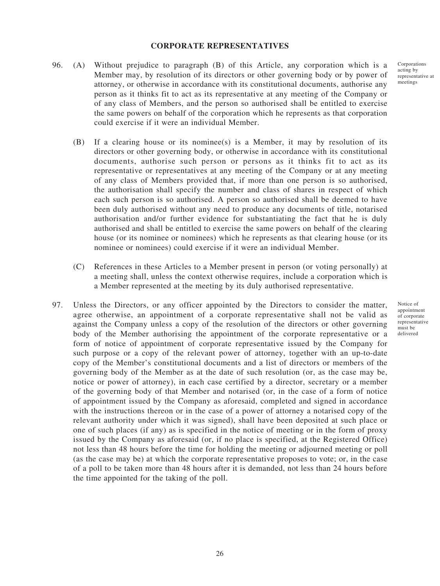#### **CORPORATE REPRESENTATIVES**

- 96. (A) Without prejudice to paragraph (B) of this Article, any corporation which is a Member may, by resolution of its directors or other governing body or by power of attorney, or otherwise in accordance with its constitutional documents, authorise any person as it thinks fit to act as its representative at any meeting of the Company or of any class of Members, and the person so authorised shall be entitled to exercise the same powers on behalf of the corporation which he represents as that corporation could exercise if it were an individual Member.
	- $(B)$  If a clearing house or its nominee(s) is a Member, it may by resolution of its directors or other governing body, or otherwise in accordance with its constitutional documents, authorise such person or persons as it thinks fit to act as its representative or representatives at any meeting of the Company or at any meeting of any class of Members provided that, if more than one person is so authorised, the authorisation shall specify the number and class of shares in respect of which each such person is so authorised. A person so authorised shall be deemed to have been duly authorised without any need to produce any documents of title, notarised authorisation and/or further evidence for substantiating the fact that he is duly authorised and shall be entitled to exercise the same powers on behalf of the clearing house (or its nominee or nominees) which he represents as that clearing house (or its nominee or nominees) could exercise if it were an individual Member.
	- (C) References in these Articles to a Member present in person (or voting personally) at a meeting shall, unless the context otherwise requires, include a corporation which is a Member represented at the meeting by its duly authorised representative.
- 97. Unless the Directors, or any officer appointed by the Directors to consider the matter, agree otherwise, an appointment of a corporate representative shall not be valid as against the Company unless a copy of the resolution of the directors or other governing body of the Member authorising the appointment of the corporate representative or a form of notice of appointment of corporate representative issued by the Company for such purpose or a copy of the relevant power of attorney, together with an up-to-date copy of the Member's constitutional documents and a list of directors or members of the governing body of the Member as at the date of such resolution (or, as the case may be, notice or power of attorney), in each case certified by a director, secretary or a member of the governing body of that Member and notarised (or, in the case of a form of notice of appointment issued by the Company as aforesaid, completed and signed in accordance with the instructions thereon or in the case of a power of attorney a notarised copy of the relevant authority under which it was signed), shall have been deposited at such place or one of such places (if any) as is specified in the notice of meeting or in the form of proxy issued by the Company as aforesaid (or, if no place is specified, at the Registered Office) not less than 48 hours before the time for holding the meeting or adjourned meeting or poll (as the case may be) at which the corporate representative proposes to vote; or, in the case of a poll to be taken more than 48 hours after it is demanded, not less than 24 hours before the time appointed for the taking of the poll.

Corporations acting by representative at meetings

Notice of appointment of corporate representative must be delivered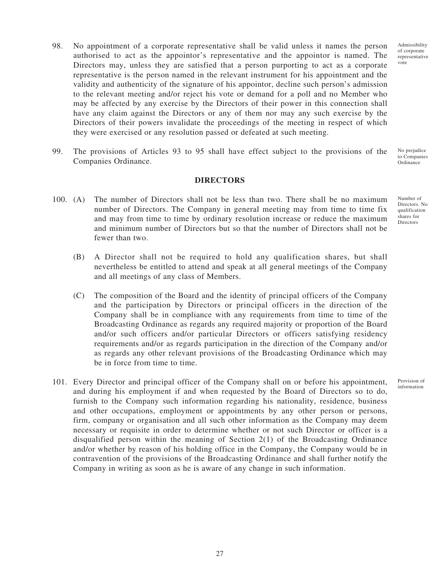- 98. No appointment of a corporate representative shall be valid unless it names the person authorised to act as the appointor's representative and the appointor is named. The Directors may, unless they are satisfied that a person purporting to act as a corporate representative is the person named in the relevant instrument for his appointment and the validity and authenticity of the signature of his appointor, decline such person's admission to the relevant meeting and/or reject his vote or demand for a poll and no Member who may be affected by any exercise by the Directors of their power in this connection shall have any claim against the Directors or any of them nor may any such exercise by the Directors of their powers invalidate the proceedings of the meeting in respect of which they were exercised or any resolution passed or defeated at such meeting.
- 99. The provisions of Articles 93 to 95 shall have effect subject to the provisions of the Companies Ordinance.

#### **DIRECTORS**

- 100. (A) The number of Directors shall not be less than two. There shall be no maximum number of Directors. The Company in general meeting may from time to time fix and may from time to time by ordinary resolution increase or reduce the maximum and minimum number of Directors but so that the number of Directors shall not be fewer than two.
	- (B) A Director shall not be required to hold any qualification shares, but shall nevertheless be entitled to attend and speak at all general meetings of the Company and all meetings of any class of Members.
	- (C) The composition of the Board and the identity of principal officers of the Company and the participation by Directors or principal officers in the direction of the Company shall be in compliance with any requirements from time to time of the Broadcasting Ordinance as regards any required majority or proportion of the Board and/or such officers and/or particular Directors or officers satisfying residency requirements and/or as regards participation in the direction of the Company and/or as regards any other relevant provisions of the Broadcasting Ordinance which may be in force from time to time.
- 101. Every Director and principal officer of the Company shall on or before his appointment, and during his employment if and when requested by the Board of Directors so to do, furnish to the Company such information regarding his nationality, residence, business and other occupations, employment or appointments by any other person or persons, firm, company or organisation and all such other information as the Company may deem necessary or requisite in order to determine whether or not such Director or officer is a disqualified person within the meaning of Section 2(1) of the Broadcasting Ordinance and/or whether by reason of his holding office in the Company, the Company would be in contravention of the provisions of the Broadcasting Ordinance and shall further notify the Company in writing as soon as he is aware of any change in such information.

Admissibility of corporate representative vote

No prejudice to Companies **Ordinance** 

Number of Directors. No qualification shares for **Directors** 

Provision of information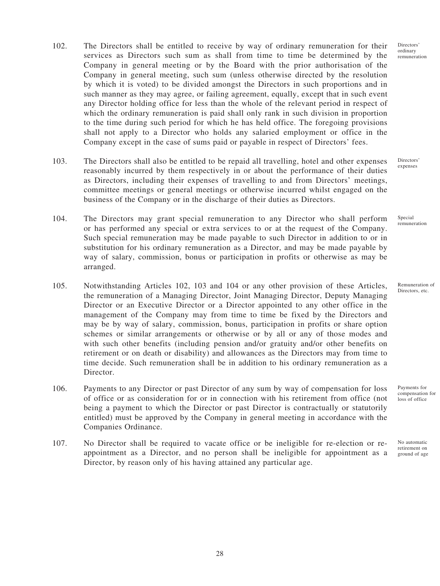- 102. The Directors shall be entitled to receive by way of ordinary remuneration for their services as Directors such sum as shall from time to time be determined by the Company in general meeting or by the Board with the prior authorisation of the Company in general meeting, such sum (unless otherwise directed by the resolution by which it is voted) to be divided amongst the Directors in such proportions and in such manner as they may agree, or failing agreement, equally, except that in such event any Director holding office for less than the whole of the relevant period in respect of which the ordinary remuneration is paid shall only rank in such division in proportion to the time during such period for which he has held office. The foregoing provisions shall not apply to a Director who holds any salaried employment or office in the Company except in the case of sums paid or payable in respect of Directors' fees.
- 103. The Directors shall also be entitled to be repaid all travelling, hotel and other expenses reasonably incurred by them respectively in or about the performance of their duties as Directors, including their expenses of travelling to and from Directors' meetings, committee meetings or general meetings or otherwise incurred whilst engaged on the business of the Company or in the discharge of their duties as Directors.
- 104. The Directors may grant special remuneration to any Director who shall perform or has performed any special or extra services to or at the request of the Company. Such special remuneration may be made payable to such Director in addition to or in substitution for his ordinary remuneration as a Director, and may be made payable by way of salary, commission, bonus or participation in profits or otherwise as may be arranged.
- 105. Notwithstanding Articles 102, 103 and 104 or any other provision of these Articles, the remuneration of a Managing Director, Joint Managing Director, Deputy Managing Director or an Executive Director or a Director appointed to any other office in the management of the Company may from time to time be fixed by the Directors and may be by way of salary, commission, bonus, participation in profits or share option schemes or similar arrangements or otherwise or by all or any of those modes and with such other benefits (including pension and/or gratuity and/or other benefits on retirement or on death or disability) and allowances as the Directors may from time to time decide. Such remuneration shall be in addition to his ordinary remuneration as a Director.
- 106. Payments to any Director or past Director of any sum by way of compensation for loss of office or as consideration for or in connection with his retirement from office (not being a payment to which the Director or past Director is contractually or statutorily entitled) must be approved by the Company in general meeting in accordance with the Companies Ordinance.
- 107. No Director shall be required to vacate office or be ineligible for re-election or reappointment as a Director, and no person shall be ineligible for appointment as a Director, by reason only of his having attained any particular age.

Directors' expenses

Special remuneration

Remuneration of Directors, etc.

compensation for loss of office

Payments for

No automatic retirement on ground of age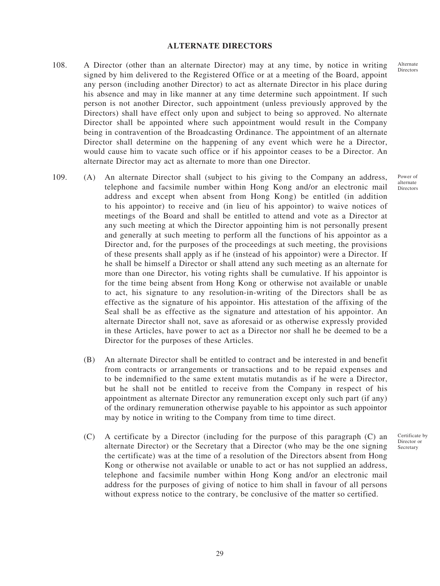#### **ALTERNATE DIRECTORS**

- 108. A Director (other than an alternate Director) may at any time, by notice in writing signed by him delivered to the Registered Office or at a meeting of the Board, appoint any person (including another Director) to act as alternate Director in his place during his absence and may in like manner at any time determine such appointment. If such person is not another Director, such appointment (unless previously approved by the Directors) shall have effect only upon and subject to being so approved. No alternate Director shall be appointed where such appointment would result in the Company being in contravention of the Broadcasting Ordinance. The appointment of an alternate Director shall determine on the happening of any event which were he a Director, would cause him to vacate such office or if his appointor ceases to be a Director. An alternate Director may act as alternate to more than one Director.
- 109. (A) An alternate Director shall (subject to his giving to the Company an address, telephone and facsimile number within Hong Kong and/or an electronic mail address and except when absent from Hong Kong) be entitled (in addition to his appointor) to receive and (in lieu of his appointor) to waive notices of meetings of the Board and shall be entitled to attend and vote as a Director at any such meeting at which the Director appointing him is not personally present and generally at such meeting to perform all the functions of his appointor as a Director and, for the purposes of the proceedings at such meeting, the provisions of these presents shall apply as if he (instead of his appointor) were a Director. If he shall be himself a Director or shall attend any such meeting as an alternate for more than one Director, his voting rights shall be cumulative. If his appointor is for the time being absent from Hong Kong or otherwise not available or unable to act, his signature to any resolution-in-writing of the Directors shall be as effective as the signature of his appointor. His attestation of the affixing of the Seal shall be as effective as the signature and attestation of his appointor. An alternate Director shall not, save as aforesaid or as otherwise expressly provided in these Articles, have power to act as a Director nor shall he be deemed to be a Director for the purposes of these Articles.
	- (B) An alternate Director shall be entitled to contract and be interested in and benefit from contracts or arrangements or transactions and to be repaid expenses and to be indemnified to the same extent mutatis mutandis as if he were a Director, but he shall not be entitled to receive from the Company in respect of his appointment as alternate Director any remuneration except only such part (if any) of the ordinary remuneration otherwise payable to his appointor as such appointor may by notice in writing to the Company from time to time direct.
	- (C) A certificate by a Director (including for the purpose of this paragraph (C) an alternate Director) or the Secretary that a Director (who may be the one signing the certificate) was at the time of a resolution of the Directors absent from Hong Kong or otherwise not available or unable to act or has not supplied an address, telephone and facsimile number within Hong Kong and/or an electronic mail address for the purposes of giving of notice to him shall in favour of all persons without express notice to the contrary, be conclusive of the matter so certified.

Power of alternate Directors

Certificate by Director or Secretary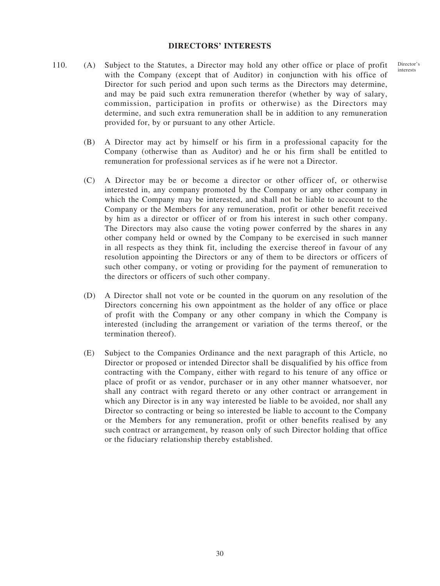#### **DIRECTORS' INTERESTS**

- 110. (A) Subject to the Statutes, a Director may hold any other office or place of profit with the Company (except that of Auditor) in conjunction with his office of Director for such period and upon such terms as the Directors may determine, and may be paid such extra remuneration therefor (whether by way of salary, commission, participation in profits or otherwise) as the Directors may determine, and such extra remuneration shall be in addition to any remuneration provided for, by or pursuant to any other Article.
	- (B) A Director may act by himself or his firm in a professional capacity for the Company (otherwise than as Auditor) and he or his firm shall be entitled to remuneration for professional services as if he were not a Director.
	- (C) A Director may be or become a director or other officer of, or otherwise interested in, any company promoted by the Company or any other company in which the Company may be interested, and shall not be liable to account to the Company or the Members for any remuneration, profit or other benefit received by him as a director or officer of or from his interest in such other company. The Directors may also cause the voting power conferred by the shares in any other company held or owned by the Company to be exercised in such manner in all respects as they think fit, including the exercise thereof in favour of any resolution appointing the Directors or any of them to be directors or officers of such other company, or voting or providing for the payment of remuneration to the directors or officers of such other company.
	- (D) A Director shall not vote or be counted in the quorum on any resolution of the Directors concerning his own appointment as the holder of any office or place of profit with the Company or any other company in which the Company is interested (including the arrangement or variation of the terms thereof, or the termination thereof).
	- (E) Subject to the Companies Ordinance and the next paragraph of this Article, no Director or proposed or intended Director shall be disqualified by his office from contracting with the Company, either with regard to his tenure of any office or place of profit or as vendor, purchaser or in any other manner whatsoever, nor shall any contract with regard thereto or any other contract or arrangement in which any Director is in any way interested be liable to be avoided, nor shall any Director so contracting or being so interested be liable to account to the Company or the Members for any remuneration, profit or other benefits realised by any such contract or arrangement, by reason only of such Director holding that office or the fiduciary relationship thereby established.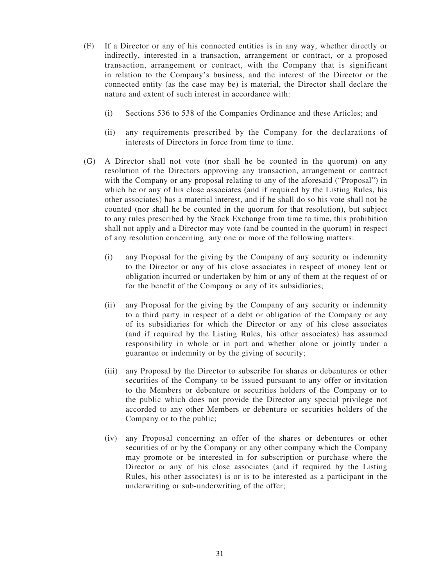- (F) If a Director or any of his connected entities is in any way, whether directly or indirectly, interested in a transaction, arrangement or contract, or a proposed transaction, arrangement or contract, with the Company that is significant in relation to the Company's business, and the interest of the Director or the connected entity (as the case may be) is material, the Director shall declare the nature and extent of such interest in accordance with:
	- (i) Sections 536 to 538 of the Companies Ordinance and these Articles; and
	- (ii) any requirements prescribed by the Company for the declarations of interests of Directors in force from time to time.
- (G) A Director shall not vote (nor shall he be counted in the quorum) on any resolution of the Directors approving any transaction, arrangement or contract with the Company or any proposal relating to any of the aforesaid ("Proposal") in which he or any of his close associates (and if required by the Listing Rules, his other associates) has a material interest, and if he shall do so his vote shall not be counted (nor shall he be counted in the quorum for that resolution), but subject to any rules prescribed by the Stock Exchange from time to time, this prohibition shall not apply and a Director may vote (and be counted in the quorum) in respect of any resolution concerning any one or more of the following matters:
	- (i) any Proposal for the giving by the Company of any security or indemnity to the Director or any of his close associates in respect of money lent or obligation incurred or undertaken by him or any of them at the request of or for the benefit of the Company or any of its subsidiaries;
	- (ii) any Proposal for the giving by the Company of any security or indemnity to a third party in respect of a debt or obligation of the Company or any of its subsidiaries for which the Director or any of his close associates (and if required by the Listing Rules, his other associates) has assumed responsibility in whole or in part and whether alone or jointly under a guarantee or indemnity or by the giving of security;
	- (iii) any Proposal by the Director to subscribe for shares or debentures or other securities of the Company to be issued pursuant to any offer or invitation to the Members or debenture or securities holders of the Company or to the public which does not provide the Director any special privilege not accorded to any other Members or debenture or securities holders of the Company or to the public;
	- (iv) any Proposal concerning an offer of the shares or debentures or other securities of or by the Company or any other company which the Company may promote or be interested in for subscription or purchase where the Director or any of his close associates (and if required by the Listing Rules, his other associates) is or is to be interested as a participant in the underwriting or sub-underwriting of the offer;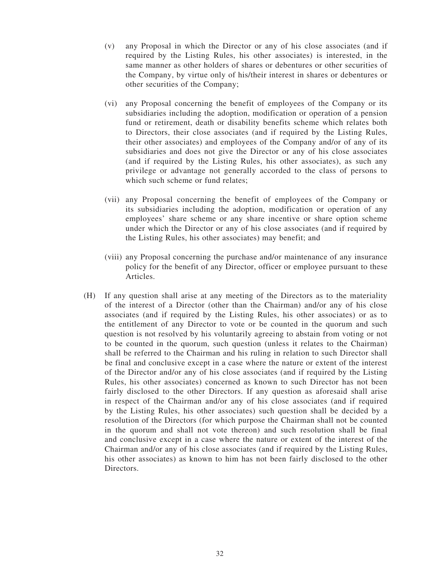- (v) any Proposal in which the Director or any of his close associates (and if required by the Listing Rules, his other associates) is interested, in the same manner as other holders of shares or debentures or other securities of the Company, by virtue only of his/their interest in shares or debentures or other securities of the Company;
- (vi) any Proposal concerning the benefit of employees of the Company or its subsidiaries including the adoption, modification or operation of a pension fund or retirement, death or disability benefits scheme which relates both to Directors, their close associates (and if required by the Listing Rules, their other associates) and employees of the Company and/or of any of its subsidiaries and does not give the Director or any of his close associates (and if required by the Listing Rules, his other associates), as such any privilege or advantage not generally accorded to the class of persons to which such scheme or fund relates:
- (vii) any Proposal concerning the benefit of employees of the Company or its subsidiaries including the adoption, modification or operation of any employees' share scheme or any share incentive or share option scheme under which the Director or any of his close associates (and if required by the Listing Rules, his other associates) may benefit; and
- (viii) any Proposal concerning the purchase and/or maintenance of any insurance policy for the benefit of any Director, officer or employee pursuant to these **Articles**
- (H) If any question shall arise at any meeting of the Directors as to the materiality of the interest of a Director (other than the Chairman) and/or any of his close associates (and if required by the Listing Rules, his other associates) or as to the entitlement of any Director to vote or be counted in the quorum and such question is not resolved by his voluntarily agreeing to abstain from voting or not to be counted in the quorum, such question (unless it relates to the Chairman) shall be referred to the Chairman and his ruling in relation to such Director shall be final and conclusive except in a case where the nature or extent of the interest of the Director and/or any of his close associates (and if required by the Listing Rules, his other associates) concerned as known to such Director has not been fairly disclosed to the other Directors. If any question as aforesaid shall arise in respect of the Chairman and/or any of his close associates (and if required by the Listing Rules, his other associates) such question shall be decided by a resolution of the Directors (for which purpose the Chairman shall not be counted in the quorum and shall not vote thereon) and such resolution shall be final and conclusive except in a case where the nature or extent of the interest of the Chairman and/or any of his close associates (and if required by the Listing Rules, his other associates) as known to him has not been fairly disclosed to the other Directors.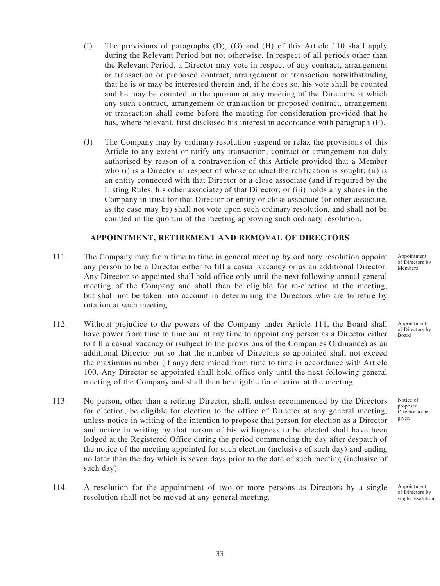- (I) The provisions of paragraphs (D), (G) and (H) of this Article 110 shall apply during the Relevant Period but not otherwise. In respect of all periods other than the Relevant Period, a Director may vote in respect of any contract, arrangement or transaction or proposed contract, arrangement or transaction notwithstanding that he is or may be interested therein and, if he does so, his vote shall be counted and he may be counted in the quorum at any meeting of the Directors at which any such contract, arrangement or transaction or proposed contract, arrangement or transaction shall come before the meeting for consideration provided that he has, where relevant, first disclosed his interest in accordance with paragraph (F).
- (J) The Company may by ordinary resolution suspend or relax the provisions of this Article to any extent or ratify any transaction, contract or arrangement not duly authorised by reason of a contravention of this Article provided that a Member who (i) is a Director in respect of whose conduct the ratification is sought; (ii) is an entity connected with that Director or a close associate (and if required by the Listing Rules, his other associate) of that Director; or (iii) holds any shares in the Company in trust for that Director or entity or close associate (or other associate, as the case may be) shall not vote upon such ordinary resolution, and shall not be counted in the quorum of the meeting approving such ordinary resolution.

## **APPOINTMENT, RETIREMENT AND REMOVAL OF DIRECTORS**

- 111. The Company may from time to time in general meeting by ordinary resolution appoint any person to be a Director either to fill a casual vacancy or as an additional Director. Any Director so appointed shall hold office only until the next following annual general meeting of the Company and shall then be eligible for re-election at the meeting, but shall not be taken into account in determining the Directors who are to retire by rotation at such meeting.
- 112. Without prejudice to the powers of the Company under Article 111, the Board shall have power from time to time and at any time to appoint any person as a Director either to fill a casual vacancy or (subject to the provisions of the Companies Ordinance) as an additional Director but so that the number of Directors so appointed shall not exceed the maximum number (if any) determined from time to time in accordance with Article 100. Any Director so appointed shall hold office only until the next following general meeting of the Company and shall then be eligible for election at the meeting.
- 113. No person, other than a retiring Director, shall, unless recommended by the Directors for election, be eligible for election to the office of Director at any general meeting, unless notice in writing of the intention to propose that person for election as a Director and notice in writing by that person of his willingness to be elected shall have been lodged at the Registered Office during the period commencing the day after despatch of the notice of the meeting appointed for such election (inclusive of such day) and ending no later than the day which is seven days prior to the date of such meeting (inclusive of such day).
- 114. A resolution for the appointment of two or more persons as Directors by a single resolution shall not be moved at any general meeting.

Appointment of Directors by Members

Appointment of Directors by Board

Notice of proposed Director to be given

Appointment of Directors by single resolution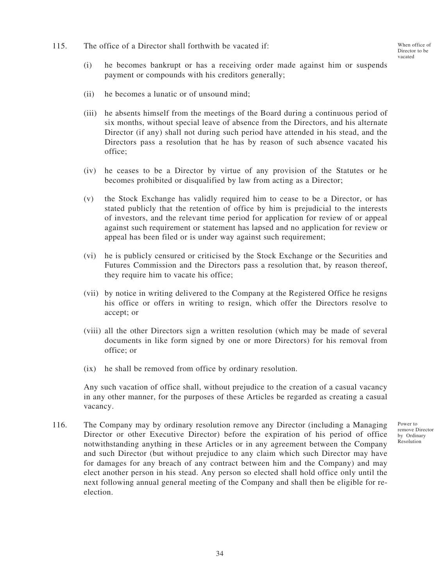115. The office of a Director shall forthwith be vacated if:

- (i) he becomes bankrupt or has a receiving order made against him or suspends payment or compounds with his creditors generally;
- (ii) he becomes a lunatic or of unsound mind;
- (iii) he absents himself from the meetings of the Board during a continuous period of six months, without special leave of absence from the Directors, and his alternate Director (if any) shall not during such period have attended in his stead, and the Directors pass a resolution that he has by reason of such absence vacated his office;
- (iv) he ceases to be a Director by virtue of any provision of the Statutes or he becomes prohibited or disqualified by law from acting as a Director;
- (v) the Stock Exchange has validly required him to cease to be a Director, or has stated publicly that the retention of office by him is prejudicial to the interests of investors, and the relevant time period for application for review of or appeal against such requirement or statement has lapsed and no application for review or appeal has been filed or is under way against such requirement;
- (vi) he is publicly censured or criticised by the Stock Exchange or the Securities and Futures Commission and the Directors pass a resolution that, by reason thereof, they require him to vacate his office;
- (vii) by notice in writing delivered to the Company at the Registered Office he resigns his office or offers in writing to resign, which offer the Directors resolve to accept; or
- (viii) all the other Directors sign a written resolution (which may be made of several documents in like form signed by one or more Directors) for his removal from office; or
- (ix) he shall be removed from office by ordinary resolution.

Any such vacation of office shall, without prejudice to the creation of a casual vacancy in any other manner, for the purposes of these Articles be regarded as creating a casual vacancy.

116. The Company may by ordinary resolution remove any Director (including a Managing Director or other Executive Director) before the expiration of his period of office notwithstanding anything in these Articles or in any agreement between the Company and such Director (but without prejudice to any claim which such Director may have for damages for any breach of any contract between him and the Company) and may elect another person in his stead. Any person so elected shall hold office only until the next following annual general meeting of the Company and shall then be eligible for reelection.

Power to remove Director by Ordinary Resolution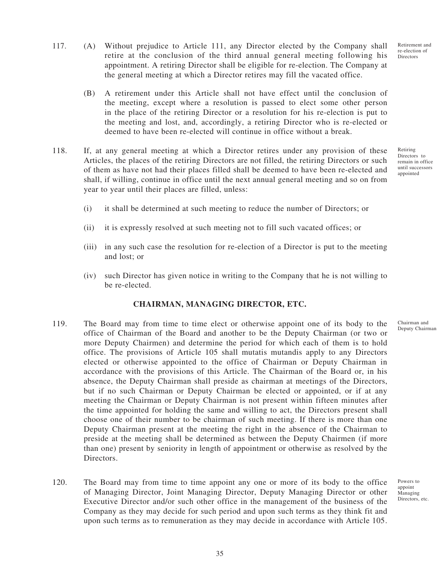Retiring Directors to remain in office until successors appointed

- 117. (A) Without prejudice to Article 111, any Director elected by the Company shall retire at the conclusion of the third annual general meeting following his appointment. A retiring Director shall be eligible for re-election. The Company at the general meeting at which a Director retires may fill the vacated office.
	- (B) A retirement under this Article shall not have effect until the conclusion of the meeting, except where a resolution is passed to elect some other person in the place of the retiring Director or a resolution for his re-election is put to the meeting and lost, and, accordingly, a retiring Director who is re-elected or deemed to have been re-elected will continue in office without a break.
- 118. If, at any general meeting at which a Director retires under any provision of these Articles, the places of the retiring Directors are not filled, the retiring Directors or such of them as have not had their places filled shall be deemed to have been re-elected and shall, if willing, continue in office until the next annual general meeting and so on from year to year until their places are filled, unless:
	- (i) it shall be determined at such meeting to reduce the number of Directors; or
	- (ii) it is expressly resolved at such meeting not to fill such vacated offices; or
	- (iii) in any such case the resolution for re-election of a Director is put to the meeting and lost; or
	- (iv) such Director has given notice in writing to the Company that he is not willing to be re-elected.

### **CHAIRMAN, MANAGING DIRECTOR, ETC.**

- 119. The Board may from time to time elect or otherwise appoint one of its body to the office of Chairman of the Board and another to be the Deputy Chairman (or two or more Deputy Chairmen) and determine the period for which each of them is to hold office. The provisions of Article 105 shall mutatis mutandis apply to any Directors elected or otherwise appointed to the office of Chairman or Deputy Chairman in accordance with the provisions of this Article. The Chairman of the Board or, in his absence, the Deputy Chairman shall preside as chairman at meetings of the Directors, but if no such Chairman or Deputy Chairman be elected or appointed, or if at any meeting the Chairman or Deputy Chairman is not present within fifteen minutes after the time appointed for holding the same and willing to act, the Directors present shall choose one of their number to be chairman of such meeting. If there is more than one Deputy Chairman present at the meeting the right in the absence of the Chairman to preside at the meeting shall be determined as between the Deputy Chairmen (if more than one) present by seniority in length of appointment or otherwise as resolved by the Directors.
- 120. The Board may from time to time appoint any one or more of its body to the office of Managing Director, Joint Managing Director, Deputy Managing Director or other Executive Director and/or such other office in the management of the business of the Company as they may decide for such period and upon such terms as they think fit and upon such terms as to remuneration as they may decide in accordance with Article 105.

Chairman and Deputy Chairman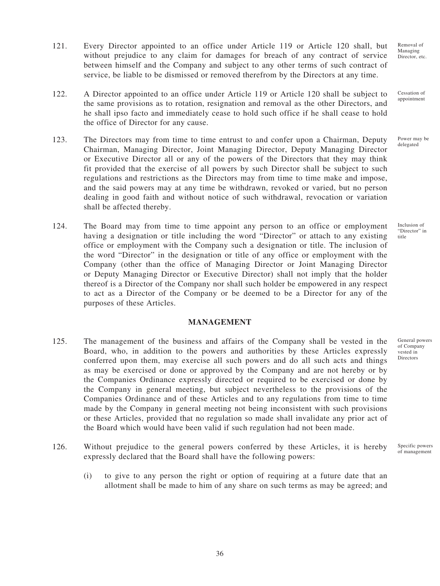- 121. Every Director appointed to an office under Article 119 or Article 120 shall, but without prejudice to any claim for damages for breach of any contract of service between himself and the Company and subject to any other terms of such contract of service, be liable to be dismissed or removed therefrom by the Directors at any time.
- 122. A Director appointed to an office under Article 119 or Article 120 shall be subject to the same provisions as to rotation, resignation and removal as the other Directors, and he shall ipso facto and immediately cease to hold such office if he shall cease to hold the office of Director for any cause.
- 123. The Directors may from time to time entrust to and confer upon a Chairman, Deputy Chairman, Managing Director, Joint Managing Director, Deputy Managing Director or Executive Director all or any of the powers of the Directors that they may think fit provided that the exercise of all powers by such Director shall be subject to such regulations and restrictions as the Directors may from time to time make and impose, and the said powers may at any time be withdrawn, revoked or varied, but no person dealing in good faith and without notice of such withdrawal, revocation or variation shall be affected thereby.
- 124. The Board may from time to time appoint any person to an office or employment having a designation or title including the word "Director" or attach to any existing office or employment with the Company such a designation or title. The inclusion of the word "Director" in the designation or title of any office or employment with the Company (other than the office of Managing Director or Joint Managing Director or Deputy Managing Director or Executive Director) shall not imply that the holder thereof is a Director of the Company nor shall such holder be empowered in any respect to act as a Director of the Company or be deemed to be a Director for any of the purposes of these Articles.

## **MANAGEMENT**

- 125. The management of the business and affairs of the Company shall be vested in the Board, who, in addition to the powers and authorities by these Articles expressly conferred upon them, may exercise all such powers and do all such acts and things as may be exercised or done or approved by the Company and are not hereby or by the Companies Ordinance expressly directed or required to be exercised or done by the Company in general meeting, but subject nevertheless to the provisions of the Companies Ordinance and of these Articles and to any regulations from time to time made by the Company in general meeting not being inconsistent with such provisions or these Articles, provided that no regulation so made shall invalidate any prior act of the Board which would have been valid if such regulation had not been made.
- 126. Without prejudice to the general powers conferred by these Articles, it is hereby expressly declared that the Board shall have the following powers: Specific powers of management
	- (i) to give to any person the right or option of requiring at a future date that an allotment shall be made to him of any share on such terms as may be agreed; and

Removal of Managing Director, etc.

Cessation of appointment

Power may be delegated

Inclusion of "Director" in title

General powers of Company vested in Directors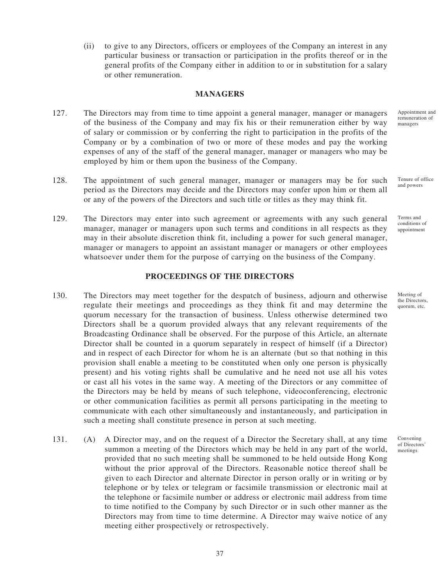(ii) to give to any Directors, officers or employees of the Company an interest in any particular business or transaction or participation in the profits thereof or in the general profits of the Company either in addition to or in substitution for a salary or other remuneration.

#### **MANAGERS**

- 127. The Directors may from time to time appoint a general manager, manager or managers of the business of the Company and may fix his or their remuneration either by way of salary or commission or by conferring the right to participation in the profits of the Company or by a combination of two or more of these modes and pay the working expenses of any of the staff of the general manager, manager or managers who may be employed by him or them upon the business of the Company.
- 128. The appointment of such general manager, manager or managers may be for such period as the Directors may decide and the Directors may confer upon him or them all or any of the powers of the Directors and such title or titles as they may think fit.
- 129. The Directors may enter into such agreement or agreements with any such general manager, manager or managers upon such terms and conditions in all respects as they may in their absolute discretion think fit, including a power for such general manager, manager or managers to appoint an assistant manager or managers or other employees whatsoever under them for the purpose of carrying on the business of the Company.

### **PROCEEDINGS OF THE DIRECTORS**

- 130. The Directors may meet together for the despatch of business, adjourn and otherwise regulate their meetings and proceedings as they think fit and may determine the quorum necessary for the transaction of business. Unless otherwise determined two Directors shall be a quorum provided always that any relevant requirements of the Broadcasting Ordinance shall be observed. For the purpose of this Article, an alternate Director shall be counted in a quorum separately in respect of himself (if a Director) and in respect of each Director for whom he is an alternate (but so that nothing in this provision shall enable a meeting to be constituted when only one person is physically present) and his voting rights shall be cumulative and he need not use all his votes or cast all his votes in the same way. A meeting of the Directors or any committee of the Directors may be held by means of such telephone, videoconferencing, electronic or other communication facilities as permit all persons participating in the meeting to communicate with each other simultaneously and instantaneously, and participation in such a meeting shall constitute presence in person at such meeting.
- 131. (A) A Director may, and on the request of a Director the Secretary shall, at any time summon a meeting of the Directors which may be held in any part of the world, provided that no such meeting shall be summoned to be held outside Hong Kong without the prior approval of the Directors. Reasonable notice thereof shall be given to each Director and alternate Director in person orally or in writing or by telephone or by telex or telegram or facsimile transmission or electronic mail at the telephone or facsimile number or address or electronic mail address from time to time notified to the Company by such Director or in such other manner as the Directors may from time to time determine. A Director may waive notice of any meeting either prospectively or retrospectively.

Appointment and remuneration of managers

Tenure of office and powers

Terms and conditions of appointment

Meeting of the Directors, quorum, etc.

Convening of Directors' meetings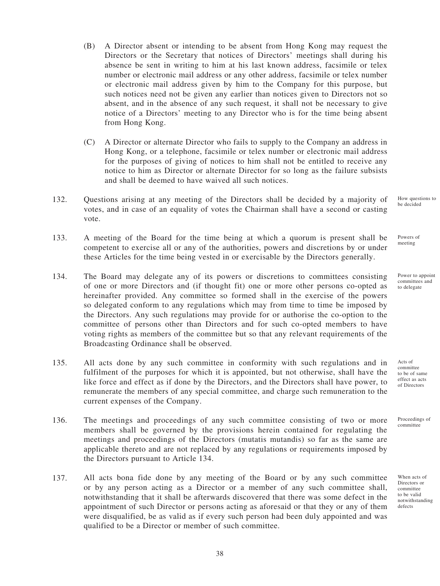- (B) A Director absent or intending to be absent from Hong Kong may request the Directors or the Secretary that notices of Directors' meetings shall during his absence be sent in writing to him at his last known address, facsimile or telex number or electronic mail address or any other address, facsimile or telex number or electronic mail address given by him to the Company for this purpose, but such notices need not be given any earlier than notices given to Directors not so absent, and in the absence of any such request, it shall not be necessary to give notice of a Directors' meeting to any Director who is for the time being absent from Hong Kong.
- (C) A Director or alternate Director who fails to supply to the Company an address in Hong Kong, or a telephone, facsimile or telex number or electronic mail address for the purposes of giving of notices to him shall not be entitled to receive any notice to him as Director or alternate Director for so long as the failure subsists and shall be deemed to have waived all such notices.
- 132. Questions arising at any meeting of the Directors shall be decided by a majority of votes, and in case of an equality of votes the Chairman shall have a second or casting vote.
- 133. A meeting of the Board for the time being at which a quorum is present shall be competent to exercise all or any of the authorities, powers and discretions by or under these Articles for the time being vested in or exercisable by the Directors generally.
- 134. The Board may delegate any of its powers or discretions to committees consisting of one or more Directors and (if thought fit) one or more other persons co-opted as hereinafter provided. Any committee so formed shall in the exercise of the powers so delegated conform to any regulations which may from time to time be imposed by the Directors. Any such regulations may provide for or authorise the co-option to the committee of persons other than Directors and for such co-opted members to have voting rights as members of the committee but so that any relevant requirements of the Broadcasting Ordinance shall be observed.
- 135. All acts done by any such committee in conformity with such regulations and in fulfilment of the purposes for which it is appointed, but not otherwise, shall have the like force and effect as if done by the Directors, and the Directors shall have power, to remunerate the members of any special committee, and charge such remuneration to the current expenses of the Company.
- 136. The meetings and proceedings of any such committee consisting of two or more members shall be governed by the provisions herein contained for regulating the meetings and proceedings of the Directors (mutatis mutandis) so far as the same are applicable thereto and are not replaced by any regulations or requirements imposed by the Directors pursuant to Article 134.
- 137. All acts bona fide done by any meeting of the Board or by any such committee or by any person acting as a Director or a member of any such committee shall, notwithstanding that it shall be afterwards discovered that there was some defect in the appointment of such Director or persons acting as aforesaid or that they or any of them were disqualified, be as valid as if every such person had been duly appointed and was qualified to be a Director or member of such committee.

How questions to be decided

Powers of meeting

Power to appoint committees and to delegate

Acts of committee to be of same effect as acts of Directors

Proceedings of committee

When acts of Directors or committee to be valid notwithstanding defects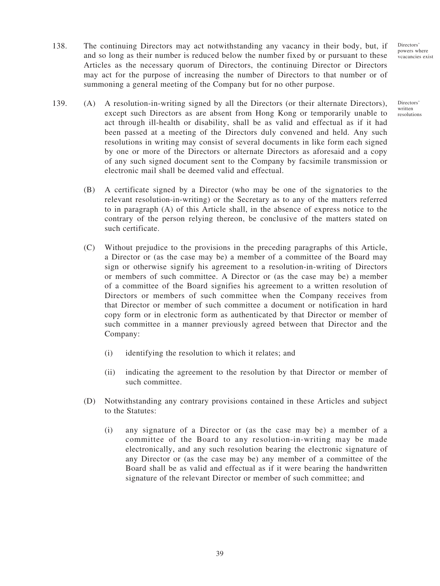Directors' powers where vcacancies exist

Directors' written resolutions

- 138. The continuing Directors may act notwithstanding any vacancy in their body, but, if and so long as their number is reduced below the number fixed by or pursuant to these Articles as the necessary quorum of Directors, the continuing Director or Directors may act for the purpose of increasing the number of Directors to that number or of summoning a general meeting of the Company but for no other purpose.
- 139. (A) A resolution-in-writing signed by all the Directors (or their alternate Directors), except such Directors as are absent from Hong Kong or temporarily unable to act through ill-health or disability, shall be as valid and effectual as if it had been passed at a meeting of the Directors duly convened and held. Any such resolutions in writing may consist of several documents in like form each signed by one or more of the Directors or alternate Directors as aforesaid and a copy of any such signed document sent to the Company by facsimile transmission or electronic mail shall be deemed valid and effectual.
	- (B) A certificate signed by a Director (who may be one of the signatories to the relevant resolution-in-writing) or the Secretary as to any of the matters referred to in paragraph (A) of this Article shall, in the absence of express notice to the contrary of the person relying thereon, be conclusive of the matters stated on such certificate.
	- (C) Without prejudice to the provisions in the preceding paragraphs of this Article, a Director or (as the case may be) a member of a committee of the Board may sign or otherwise signify his agreement to a resolution-in-writing of Directors or members of such committee. A Director or (as the case may be) a member of a committee of the Board signifies his agreement to a written resolution of Directors or members of such committee when the Company receives from that Director or member of such committee a document or notification in hard copy form or in electronic form as authenticated by that Director or member of such committee in a manner previously agreed between that Director and the Company:
		- (i) identifying the resolution to which it relates; and
		- (ii) indicating the agreement to the resolution by that Director or member of such committee.
	- (D) Notwithstanding any contrary provisions contained in these Articles and subject to the Statutes:
		- (i) any signature of a Director or (as the case may be) a member of a committee of the Board to any resolution-in-writing may be made electronically, and any such resolution bearing the electronic signature of any Director or (as the case may be) any member of a committee of the Board shall be as valid and effectual as if it were bearing the handwritten signature of the relevant Director or member of such committee; and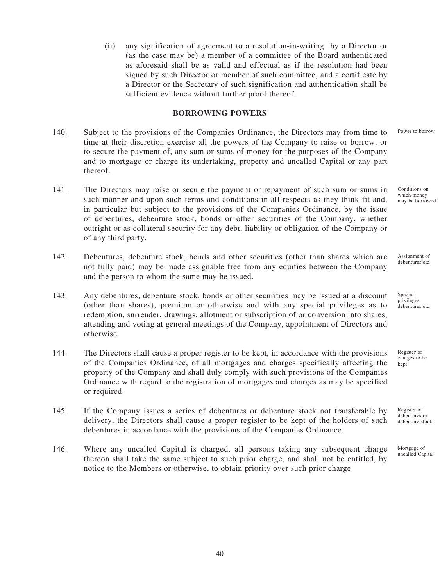(ii) any signification of agreement to a resolution-in-writing by a Director or (as the case may be) a member of a committee of the Board authenticated as aforesaid shall be as valid and effectual as if the resolution had been signed by such Director or member of such committee, and a certificate by a Director or the Secretary of such signification and authentication shall be sufficient evidence without further proof thereof.

## **BORROWING POWERS**

- 140. Subject to the provisions of the Companies Ordinance, the Directors may from time to time at their discretion exercise all the powers of the Company to raise or borrow, or to secure the payment of, any sum or sums of money for the purposes of the Company and to mortgage or charge its undertaking, property and uncalled Capital or any part thereof.
- 141. The Directors may raise or secure the payment or repayment of such sum or sums in such manner and upon such terms and conditions in all respects as they think fit and, in particular but subject to the provisions of the Companies Ordinance, by the issue of debentures, debenture stock, bonds or other securities of the Company, whether outright or as collateral security for any debt, liability or obligation of the Company or of any third party.
- 142. Debentures, debenture stock, bonds and other securities (other than shares which are not fully paid) may be made assignable free from any equities between the Company and the person to whom the same may be issued.
- 143. Any debentures, debenture stock, bonds or other securities may be issued at a discount (other than shares), premium or otherwise and with any special privileges as to redemption, surrender, drawings, allotment or subscription of or conversion into shares, attending and voting at general meetings of the Company, appointment of Directors and otherwise.
- 144. The Directors shall cause a proper register to be kept, in accordance with the provisions of the Companies Ordinance, of all mortgages and charges specifically affecting the property of the Company and shall duly comply with such provisions of the Companies Ordinance with regard to the registration of mortgages and charges as may be specified or required.
- 145. If the Company issues a series of debentures or debenture stock not transferable by delivery, the Directors shall cause a proper register to be kept of the holders of such debentures in accordance with the provisions of the Companies Ordinance.
- 146. Where any uncalled Capital is charged, all persons taking any subsequent charge thereon shall take the same subject to such prior charge, and shall not be entitled, by notice to the Members or otherwise, to obtain priority over such prior charge.

Conditions on which money may be borrowed

Power to borrow

Assignment of debentures etc.

Special privileges debentures etc.

Register of charges to be kept

Register of debentures or debenture stock

Mortgage of uncalled Capital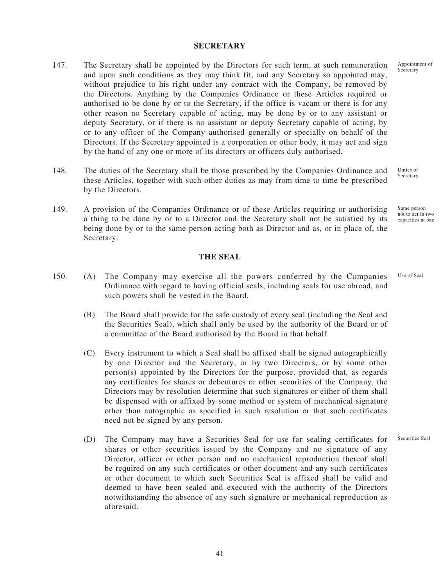#### **SECRETARY**

- 147. The Secretary shall be appointed by the Directors for such term, at such remuneration and upon such conditions as they may think fit, and any Secretary so appointed may, without prejudice to his right under any contract with the Company, be removed by the Directors. Anything by the Companies Ordinance or these Articles required or authorised to be done by or to the Secretary, if the office is vacant or there is for any other reason no Secretary capable of acting, may be done by or to any assistant or deputy Secretary, or if there is no assistant or deputy Secretary capable of acting, by or to any officer of the Company authorised generally or specially on behalf of the Directors. If the Secretary appointed is a corporation or other body, it may act and sign by the hand of any one or more of its directors or officers duly authorised.
- 148. The duties of the Secretary shall be those prescribed by the Companies Ordinance and these Articles, together with such other duties as may from time to time be prescribed by the Directors.
- 149. A provision of the Companies Ordinance or of these Articles requiring or authorising a thing to be done by or to a Director and the Secretary shall not be satisfied by its being done by or to the same person acting both as Director and as, or in place of, the Secretary. Same person not to act in two capacities at one

**THE SEAL**

- 150. (A) The Company may exercise all the powers conferred by the Companies Ordinance with regard to having official seals, including seals for use abroad, and such powers shall be vested in the Board. Use of Seal
	- (B) The Board shall provide for the safe custody of every seal (including the Seal and the Securities Seal), which shall only be used by the authority of the Board or of a committee of the Board authorised by the Board in that behalf.
	- (C) Every instrument to which a Seal shall be affixed shall be signed autographically by one Director and the Secretary, or by two Directors, or by some other  $person(s)$  appointed by the Directors for the purpose, provided that, as regards any certificates for shares or debentures or other securities of the Company, the Directors may by resolution determine that such signatures or either of them shall be dispensed with or affixed by some method or system of mechanical signature other than autographic as specified in such resolution or that such certificates need not be signed by any person.
	- (D) The Company may have a Securities Seal for use for sealing certificates for shares or other securities issued by the Company and no signature of any Director, officer or other person and no mechanical reproduction thereof shall be required on any such certificates or other document and any such certificates or other document to which such Securities Seal is affixed shall be valid and deemed to have been sealed and executed with the authority of the Directors notwithstanding the absence of any such signature or mechanical reproduction as aforesaid. Securities Seal

Duties of Secretary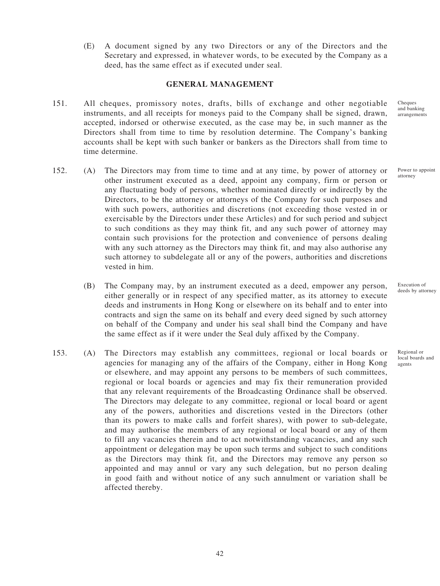(E) A document signed by any two Directors or any of the Directors and the Secretary and expressed, in whatever words, to be executed by the Company as a deed, has the same effect as if executed under seal.

### **GENERAL MANAGEMENT**

- 151. All cheques, promissory notes, drafts, bills of exchange and other negotiable instruments, and all receipts for moneys paid to the Company shall be signed, drawn, accepted, indorsed or otherwise executed, as the case may be, in such manner as the Directors shall from time to time by resolution determine. The Company's banking accounts shall be kept with such banker or bankers as the Directors shall from time to time determine.
- 152. (A) The Directors may from time to time and at any time, by power of attorney or other instrument executed as a deed, appoint any company, firm or person or any fluctuating body of persons, whether nominated directly or indirectly by the Directors, to be the attorney or attorneys of the Company for such purposes and with such powers, authorities and discretions (not exceeding those vested in or exercisable by the Directors under these Articles) and for such period and subject to such conditions as they may think fit, and any such power of attorney may contain such provisions for the protection and convenience of persons dealing with any such attorney as the Directors may think fit, and may also authorise any such attorney to subdelegate all or any of the powers, authorities and discretions vested in him.
	- (B) The Company may, by an instrument executed as a deed, empower any person, either generally or in respect of any specified matter, as its attorney to execute deeds and instruments in Hong Kong or elsewhere on its behalf and to enter into contracts and sign the same on its behalf and every deed signed by such attorney on behalf of the Company and under his seal shall bind the Company and have the same effect as if it were under the Seal duly affixed by the Company.
- 153. (A) The Directors may establish any committees, regional or local boards or agencies for managing any of the affairs of the Company, either in Hong Kong or elsewhere, and may appoint any persons to be members of such committees, regional or local boards or agencies and may fix their remuneration provided that any relevant requirements of the Broadcasting Ordinance shall be observed. The Directors may delegate to any committee, regional or local board or agent any of the powers, authorities and discretions vested in the Directors (other than its powers to make calls and forfeit shares), with power to sub-delegate, and may authorise the members of any regional or local board or any of them to fill any vacancies therein and to act notwithstanding vacancies, and any such appointment or delegation may be upon such terms and subject to such conditions as the Directors may think fit, and the Directors may remove any person so appointed and may annul or vary any such delegation, but no person dealing in good faith and without notice of any such annulment or variation shall be affected thereby.

Cheques and banking arrangements

Power to appoint attorney

Execution of deeds by attorney

Regional or local boards and agents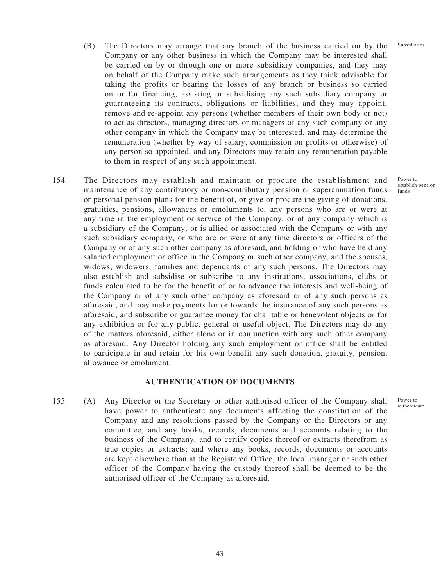- (B) The Directors may arrange that any branch of the business carried on by the Company or any other business in which the Company may be interested shall be carried on by or through one or more subsidiary companies, and they may on behalf of the Company make such arrangements as they think advisable for taking the profits or bearing the losses of any branch or business so carried on or for financing, assisting or subsidising any such subsidiary company or guaranteeing its contracts, obligations or liabilities, and they may appoint, remove and re-appoint any persons (whether members of their own body or not) to act as directors, managing directors or managers of any such company or any other company in which the Company may be interested, and may determine the remuneration (whether by way of salary, commission on profits or otherwise) of any person so appointed, and any Directors may retain any remuneration payable to them in respect of any such appointment.
- 154. The Directors may establish and maintain or procure the establishment and maintenance of any contributory or non-contributory pension or superannuation funds or personal pension plans for the benefit of, or give or procure the giving of donations, gratuities, pensions, allowances or emoluments to, any persons who are or were at any time in the employment or service of the Company, or of any company which is a subsidiary of the Company, or is allied or associated with the Company or with any such subsidiary company, or who are or were at any time directors or officers of the Company or of any such other company as aforesaid, and holding or who have held any salaried employment or office in the Company or such other company, and the spouses, widows, widowers, families and dependants of any such persons. The Directors may also establish and subsidise or subscribe to any institutions, associations, clubs or funds calculated to be for the benefit of or to advance the interests and well-being of the Company or of any such other company as aforesaid or of any such persons as aforesaid, and may make payments for or towards the insurance of any such persons as aforesaid, and subscribe or guarantee money for charitable or benevolent objects or for any exhibition or for any public, general or useful object. The Directors may do any of the matters aforesaid, either alone or in conjunction with any such other company as aforesaid. Any Director holding any such employment or office shall be entitled to participate in and retain for his own benefit any such donation, gratuity, pension, allowance or emolument.

#### **AUTHENTICATION OF DOCUMENTS**

155. (A) Any Director or the Secretary or other authorised officer of the Company shall have power to authenticate any documents affecting the constitution of the Company and any resolutions passed by the Company or the Directors or any committee, and any books, records, documents and accounts relating to the business of the Company, and to certify copies thereof or extracts therefrom as true copies or extracts; and where any books, records, documents or accounts are kept elsewhere than at the Registered Office, the local manager or such other officer of the Company having the custody thereof shall be deemed to be the authorised officer of the Company as aforesaid.

Power to establish pension funds

Subsidiaries

Power to authenticate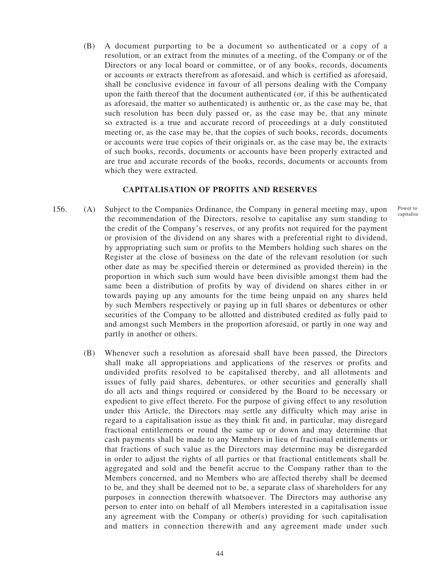(B) A document purporting to be a document so authenticated or a copy of a resolution, or an extract from the minutes of a meeting, of the Company or of the Directors or any local board or committee, or of any books, records, documents or accounts or extracts therefrom as aforesaid, and which is certified as aforesaid, shall be conclusive evidence in favour of all persons dealing with the Company upon the faith thereof that the document authenticated (or, if this be authenticated as aforesaid, the matter so authenticated) is authentic or, as the case may be, that such resolution has been duly passed or, as the case may be, that any minute so extracted is a true and accurate record of proceedings at a duly constituted meeting or, as the case may be, that the copies of such books, records, documents or accounts were true copies of their originals or, as the case may be, the extracts of such books, records, documents or accounts have been properly extracted and are true and accurate records of the books, records, documents or accounts from which they were extracted.

#### **CAPITALISATION OF PROFITS AND RESERVES**

- 156. (A) Subject to the Companies Ordinance, the Company in general meeting may, upon the recommendation of the Directors, resolve to capitalise any sum standing to the credit of the Company's reserves, or any profits not required for the payment or provision of the dividend on any shares with a preferential right to dividend, by appropriating such sum or profits to the Members holding such shares on the Register at the close of business on the date of the relevant resolution (or such other date as may be specified therein or determined as provided therein) in the proportion in which such sum would have been divisible amongst them had the same been a distribution of profits by way of dividend on shares either in or towards paying up any amounts for the time being unpaid on any shares held by such Members respectively or paying up in full shares or debentures or other securities of the Company to be allotted and distributed credited as fully paid to and amongst such Members in the proportion aforesaid, or partly in one way and partly in another or others.
	- (B) Whenever such a resolution as aforesaid shall have been passed, the Directors shall make all appropriations and applications of the reserves or profits and undivided profits resolved to be capitalised thereby, and all allotments and issues of fully paid shares, debentures, or other securities and generally shall do all acts and things required or considered by the Board to be necessary or expedient to give effect thereto. For the purpose of giving effect to any resolution under this Article, the Directors may settle any difficulty which may arise in regard to a capitalisation issue as they think fit and, in particular, may disregard fractional entitlements or round the same up or down and may determine that cash payments shall be made to any Members in lieu of fractional entitlements or that fractions of such value as the Directors may determine may be disregarded in order to adjust the rights of all parties or that fractional entitlements shall be aggregated and sold and the benefit accrue to the Company rather than to the Members concerned, and no Members who are affected thereby shall be deemed to be, and they shall be deemed not to be, a separate class of shareholders for any purposes in connection therewith whatsoever. The Directors may authorise any person to enter into on behalf of all Members interested in a capitalisation issue any agreement with the Company or other(s) providing for such capitalisation and matters in connection therewith and any agreement made under such

Power to capitalise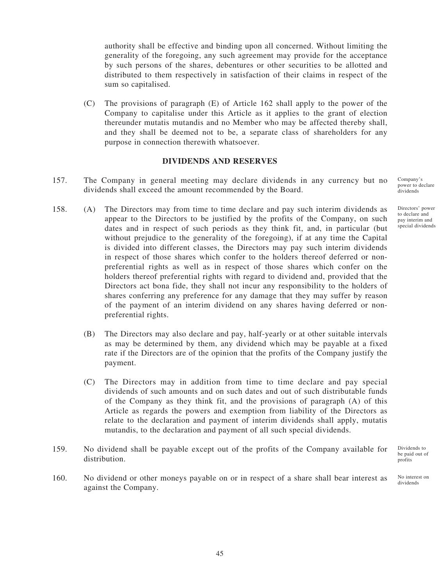authority shall be effective and binding upon all concerned. Without limiting the generality of the foregoing, any such agreement may provide for the acceptance by such persons of the shares, debentures or other securities to be allotted and distributed to them respectively in satisfaction of their claims in respect of the sum so capitalised.

(C) The provisions of paragraph (E) of Article 162 shall apply to the power of the Company to capitalise under this Article as it applies to the grant of election thereunder mutatis mutandis and no Member who may be affected thereby shall, and they shall be deemed not to be, a separate class of shareholders for any purpose in connection therewith whatsoever.

#### **DIVIDENDS AND RESERVES**

- 157. The Company in general meeting may declare dividends in any currency but no dividends shall exceed the amount recommended by the Board.
- 158. (A) The Directors may from time to time declare and pay such interim dividends as appear to the Directors to be justified by the profits of the Company, on such dates and in respect of such periods as they think fit, and, in particular (but without prejudice to the generality of the foregoing), if at any time the Capital is divided into different classes, the Directors may pay such interim dividends in respect of those shares which confer to the holders thereof deferred or nonpreferential rights as well as in respect of those shares which confer on the holders thereof preferential rights with regard to dividend and, provided that the Directors act bona fide, they shall not incur any responsibility to the holders of shares conferring any preference for any damage that they may suffer by reason of the payment of an interim dividend on any shares having deferred or nonpreferential rights.
	- (B) The Directors may also declare and pay, half-yearly or at other suitable intervals as may be determined by them, any dividend which may be payable at a fixed rate if the Directors are of the opinion that the profits of the Company justify the payment.
	- (C) The Directors may in addition from time to time declare and pay special dividends of such amounts and on such dates and out of such distributable funds of the Company as they think fit, and the provisions of paragraph (A) of this Article as regards the powers and exemption from liability of the Directors as relate to the declaration and payment of interim dividends shall apply, mutatis mutandis, to the declaration and payment of all such special dividends.
- 159. No dividend shall be payable except out of the profits of the Company available for distribution.
- 160. No dividend or other moneys payable on or in respect of a share shall bear interest as against the Company.

Company's power to declare dividends

Directors' power to declare and pay interim and special dividends

Dividends to be paid out of profits

No interest on dividends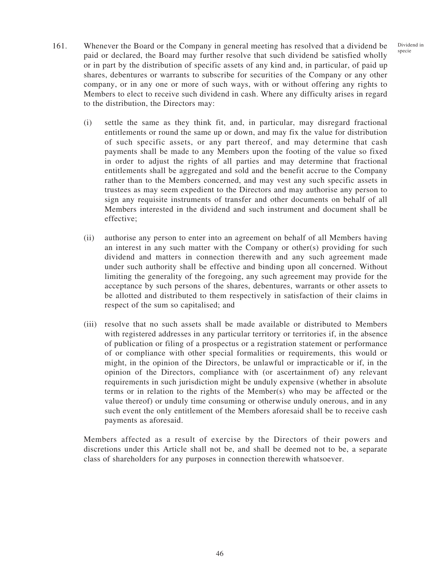- 161. Whenever the Board or the Company in general meeting has resolved that a dividend be paid or declared, the Board may further resolve that such dividend be satisfied wholly or in part by the distribution of specific assets of any kind and, in particular, of paid up shares, debentures or warrants to subscribe for securities of the Company or any other company, or in any one or more of such ways, with or without offering any rights to Members to elect to receive such dividend in cash. Where any difficulty arises in regard to the distribution, the Directors may:
	- (i) settle the same as they think fit, and, in particular, may disregard fractional entitlements or round the same up or down, and may fix the value for distribution of such specific assets, or any part thereof, and may determine that cash payments shall be made to any Members upon the footing of the value so fixed in order to adjust the rights of all parties and may determine that fractional entitlements shall be aggregated and sold and the benefit accrue to the Company rather than to the Members concerned, and may vest any such specific assets in trustees as may seem expedient to the Directors and may authorise any person to sign any requisite instruments of transfer and other documents on behalf of all Members interested in the dividend and such instrument and document shall be effective;
	- (ii) authorise any person to enter into an agreement on behalf of all Members having an interest in any such matter with the Company or other(s) providing for such dividend and matters in connection therewith and any such agreement made under such authority shall be effective and binding upon all concerned. Without limiting the generality of the foregoing, any such agreement may provide for the acceptance by such persons of the shares, debentures, warrants or other assets to be allotted and distributed to them respectively in satisfaction of their claims in respect of the sum so capitalised; and
	- (iii) resolve that no such assets shall be made available or distributed to Members with registered addresses in any particular territory or territories if, in the absence of publication or filing of a prospectus or a registration statement or performance of or compliance with other special formalities or requirements, this would or might, in the opinion of the Directors, be unlawful or impracticable or if, in the opinion of the Directors, compliance with (or ascertainment of) any relevant requirements in such jurisdiction might be unduly expensive (whether in absolute terms or in relation to the rights of the Member(s) who may be affected or the value thereof) or unduly time consuming or otherwise unduly onerous, and in any such event the only entitlement of the Members aforesaid shall be to receive cash payments as aforesaid.

Members affected as a result of exercise by the Directors of their powers and discretions under this Article shall not be, and shall be deemed not to be, a separate class of shareholders for any purposes in connection therewith whatsoever.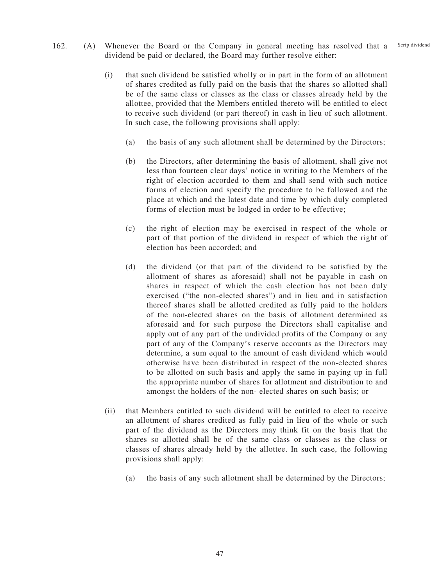- 162. (A) Whenever the Board or the Company in general meeting has resolved that a dividend be paid or declared, the Board may further resolve either: Scrip dividend
	- (i) that such dividend be satisfied wholly or in part in the form of an allotment of shares credited as fully paid on the basis that the shares so allotted shall be of the same class or classes as the class or classes already held by the allottee, provided that the Members entitled thereto will be entitled to elect to receive such dividend (or part thereof) in cash in lieu of such allotment. In such case, the following provisions shall apply:
		- (a) the basis of any such allotment shall be determined by the Directors;
		- (b) the Directors, after determining the basis of allotment, shall give not less than fourteen clear days' notice in writing to the Members of the right of election accorded to them and shall send with such notice forms of election and specify the procedure to be followed and the place at which and the latest date and time by which duly completed forms of election must be lodged in order to be effective;
		- (c) the right of election may be exercised in respect of the whole or part of that portion of the dividend in respect of which the right of election has been accorded; and
		- (d) the dividend (or that part of the dividend to be satisfied by the allotment of shares as aforesaid) shall not be payable in cash on shares in respect of which the cash election has not been duly exercised ("the non-elected shares") and in lieu and in satisfaction thereof shares shall be allotted credited as fully paid to the holders of the non-elected shares on the basis of allotment determined as aforesaid and for such purpose the Directors shall capitalise and apply out of any part of the undivided profits of the Company or any part of any of the Company's reserve accounts as the Directors may determine, a sum equal to the amount of cash dividend which would otherwise have been distributed in respect of the non-elected shares to be allotted on such basis and apply the same in paying up in full the appropriate number of shares for allotment and distribution to and amongst the holders of the non- elected shares on such basis; or
	- (ii) that Members entitled to such dividend will be entitled to elect to receive an allotment of shares credited as fully paid in lieu of the whole or such part of the dividend as the Directors may think fit on the basis that the shares so allotted shall be of the same class or classes as the class or classes of shares already held by the allottee. In such case, the following provisions shall apply:
		- (a) the basis of any such allotment shall be determined by the Directors;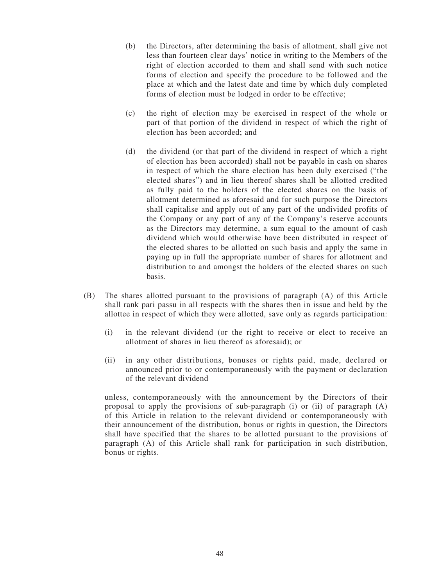- (b) the Directors, after determining the basis of allotment, shall give not less than fourteen clear days' notice in writing to the Members of the right of election accorded to them and shall send with such notice forms of election and specify the procedure to be followed and the place at which and the latest date and time by which duly completed forms of election must be lodged in order to be effective;
- (c) the right of election may be exercised in respect of the whole or part of that portion of the dividend in respect of which the right of election has been accorded; and
- (d) the dividend (or that part of the dividend in respect of which a right of election has been accorded) shall not be payable in cash on shares in respect of which the share election has been duly exercised ("the elected shares") and in lieu thereof shares shall be allotted credited as fully paid to the holders of the elected shares on the basis of allotment determined as aforesaid and for such purpose the Directors shall capitalise and apply out of any part of the undivided profits of the Company or any part of any of the Company's reserve accounts as the Directors may determine, a sum equal to the amount of cash dividend which would otherwise have been distributed in respect of the elected shares to be allotted on such basis and apply the same in paying up in full the appropriate number of shares for allotment and distribution to and amongst the holders of the elected shares on such basis.
- (B) The shares allotted pursuant to the provisions of paragraph (A) of this Article shall rank pari passu in all respects with the shares then in issue and held by the allottee in respect of which they were allotted, save only as regards participation:
	- (i) in the relevant dividend (or the right to receive or elect to receive an allotment of shares in lieu thereof as aforesaid); or
	- (ii) in any other distributions, bonuses or rights paid, made, declared or announced prior to or contemporaneously with the payment or declaration of the relevant dividend

unless, contemporaneously with the announcement by the Directors of their proposal to apply the provisions of sub-paragraph (i) or (ii) of paragraph  $(A)$ of this Article in relation to the relevant dividend or contemporaneously with their announcement of the distribution, bonus or rights in question, the Directors shall have specified that the shares to be allotted pursuant to the provisions of paragraph (A) of this Article shall rank for participation in such distribution, bonus or rights.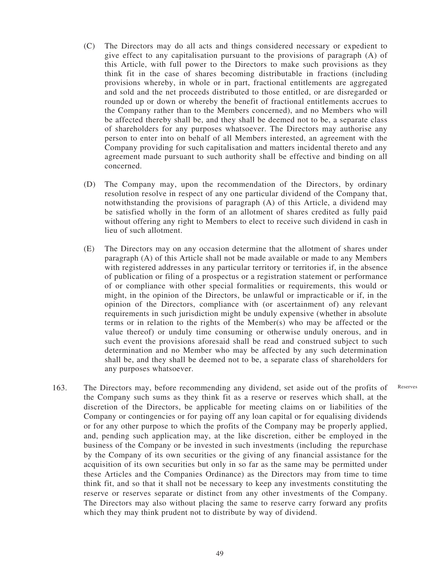- (C) The Directors may do all acts and things considered necessary or expedient to give effect to any capitalisation pursuant to the provisions of paragraph (A) of this Article, with full power to the Directors to make such provisions as they think fit in the case of shares becoming distributable in fractions (including provisions whereby, in whole or in part, fractional entitlements are aggregated and sold and the net proceeds distributed to those entitled, or are disregarded or rounded up or down or whereby the benefit of fractional entitlements accrues to the Company rather than to the Members concerned), and no Members who will be affected thereby shall be, and they shall be deemed not to be, a separate class of shareholders for any purposes whatsoever. The Directors may authorise any person to enter into on behalf of all Members interested, an agreement with the Company providing for such capitalisation and matters incidental thereto and any agreement made pursuant to such authority shall be effective and binding on all concerned.
- (D) The Company may, upon the recommendation of the Directors, by ordinary resolution resolve in respect of any one particular dividend of the Company that, notwithstanding the provisions of paragraph (A) of this Article, a dividend may be satisfied wholly in the form of an allotment of shares credited as fully paid without offering any right to Members to elect to receive such dividend in cash in lieu of such allotment.
- (E) The Directors may on any occasion determine that the allotment of shares under paragraph (A) of this Article shall not be made available or made to any Members with registered addresses in any particular territory or territories if, in the absence of publication or filing of a prospectus or a registration statement or performance of or compliance with other special formalities or requirements, this would or might, in the opinion of the Directors, be unlawful or impracticable or if, in the opinion of the Directors, compliance with (or ascertainment of) any relevant requirements in such jurisdiction might be unduly expensive (whether in absolute terms or in relation to the rights of the Member(s) who may be affected or the value thereof) or unduly time consuming or otherwise unduly onerous, and in such event the provisions aforesaid shall be read and construed subject to such determination and no Member who may be affected by any such determination shall be, and they shall be deemed not to be, a separate class of shareholders for any purposes whatsoever.

Reserves

163. The Directors may, before recommending any dividend, set aside out of the profits of the Company such sums as they think fit as a reserve or reserves which shall, at the discretion of the Directors, be applicable for meeting claims on or liabilities of the Company or contingencies or for paying off any loan capital or for equalising dividends or for any other purpose to which the profits of the Company may be properly applied, and, pending such application may, at the like discretion, either be employed in the business of the Company or be invested in such investments (including the repurchase by the Company of its own securities or the giving of any financial assistance for the acquisition of its own securities but only in so far as the same may be permitted under these Articles and the Companies Ordinance) as the Directors may from time to time think fit, and so that it shall not be necessary to keep any investments constituting the reserve or reserves separate or distinct from any other investments of the Company. The Directors may also without placing the same to reserve carry forward any profits which they may think prudent not to distribute by way of dividend.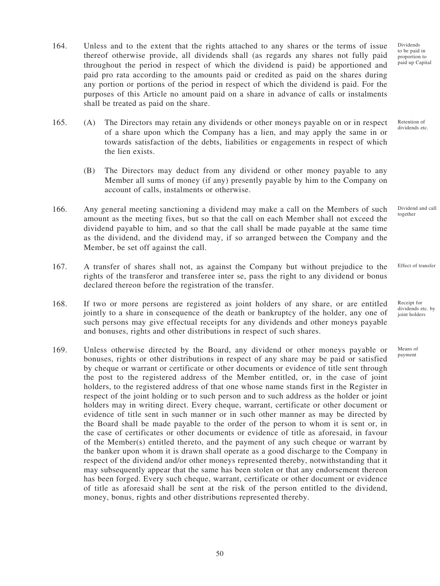- 164. Unless and to the extent that the rights attached to any shares or the terms of issue thereof otherwise provide, all dividends shall (as regards any shares not fully paid throughout the period in respect of which the dividend is paid) be apportioned and paid pro rata according to the amounts paid or credited as paid on the shares during any portion or portions of the period in respect of which the dividend is paid. For the purposes of this Article no amount paid on a share in advance of calls or instalments shall be treated as paid on the share.
- 165. (A) The Directors may retain any dividends or other moneys payable on or in respect of a share upon which the Company has a lien, and may apply the same in or towards satisfaction of the debts, liabilities or engagements in respect of which the lien exists.
	- (B) The Directors may deduct from any dividend or other money payable to any Member all sums of money (if any) presently payable by him to the Company on account of calls, instalments or otherwise.
- 166. Any general meeting sanctioning a dividend may make a call on the Members of such amount as the meeting fixes, but so that the call on each Member shall not exceed the dividend payable to him, and so that the call shall be made payable at the same time as the dividend, and the dividend may, if so arranged between the Company and the Member, be set off against the call.
- 167. A transfer of shares shall not, as against the Company but without prejudice to the rights of the transferor and transferee inter se, pass the right to any dividend or bonus declared thereon before the registration of the transfer.
- 168. If two or more persons are registered as joint holders of any share, or are entitled jointly to a share in consequence of the death or bankruptcy of the holder, any one of such persons may give effectual receipts for any dividends and other moneys payable and bonuses, rights and other distributions in respect of such shares.
- 169. Unless otherwise directed by the Board, any dividend or other moneys payable or bonuses, rights or other distributions in respect of any share may be paid or satisfied by cheque or warrant or certificate or other documents or evidence of title sent through the post to the registered address of the Member entitled, or, in the case of joint holders, to the registered address of that one whose name stands first in the Register in respect of the joint holding or to such person and to such address as the holder or joint holders may in writing direct. Every cheque, warrant, certificate or other document or evidence of title sent in such manner or in such other manner as may be directed by the Board shall be made payable to the order of the person to whom it is sent or, in the case of certificates or other documents or evidence of title as aforesaid, in favour of the Member(s) entitled thereto, and the payment of any such cheque or warrant by the banker upon whom it is drawn shall operate as a good discharge to the Company in respect of the dividend and/or other moneys represented thereby, notwithstanding that it may subsequently appear that the same has been stolen or that any endorsement thereon has been forged. Every such cheque, warrant, certificate or other document or evidence of title as aforesaid shall be sent at the risk of the person entitled to the dividend, money, bonus, rights and other distributions represented thereby.

to be paid in proportion to paid up Capital

Dividends

Retention of dividends etc.

Dividend and call together

Effect of transfer

Receipt for dividends etc. by joint holders

Means of payment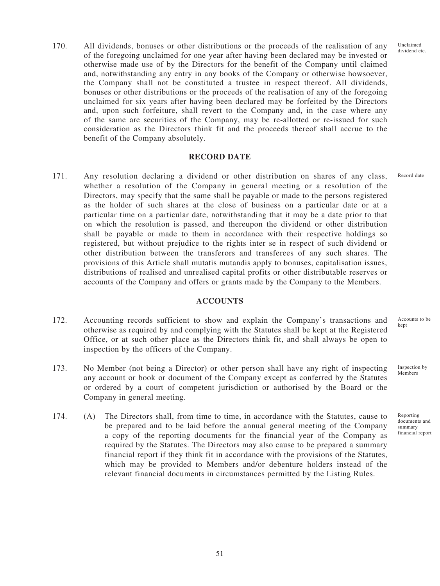170. All dividends, bonuses or other distributions or the proceeds of the realisation of any of the foregoing unclaimed for one year after having been declared may be invested or otherwise made use of by the Directors for the benefit of the Company until claimed and, notwithstanding any entry in any books of the Company or otherwise howsoever, the Company shall not be constituted a trustee in respect thereof. All dividends, bonuses or other distributions or the proceeds of the realisation of any of the foregoing unclaimed for six years after having been declared may be forfeited by the Directors and, upon such forfeiture, shall revert to the Company and, in the case where any of the same are securities of the Company, may be re-allotted or re-issued for such consideration as the Directors think fit and the proceeds thereof shall accrue to the benefit of the Company absolutely.

## **RECORD DATE**

171. Any resolution declaring a dividend or other distribution on shares of any class, whether a resolution of the Company in general meeting or a resolution of the Directors, may specify that the same shall be payable or made to the persons registered as the holder of such shares at the close of business on a particular date or at a particular time on a particular date, notwithstanding that it may be a date prior to that on which the resolution is passed, and thereupon the dividend or other distribution shall be payable or made to them in accordance with their respective holdings so registered, but without prejudice to the rights inter se in respect of such dividend or other distribution between the transferors and transferees of any such shares. The provisions of this Article shall mutatis mutandis apply to bonuses, capitalisation issues, distributions of realised and unrealised capital profits or other distributable reserves or accounts of the Company and offers or grants made by the Company to the Members. Record date

### **ACCOUNTS**

- 172. Accounting records sufficient to show and explain the Company's transactions and otherwise as required by and complying with the Statutes shall be kept at the Registered Office, or at such other place as the Directors think fit, and shall always be open to inspection by the officers of the Company.
- 173. No Member (not being a Director) or other person shall have any right of inspecting any account or book or document of the Company except as conferred by the Statutes or ordered by a court of competent jurisdiction or authorised by the Board or the Company in general meeting.
- 174. (A) The Directors shall, from time to time, in accordance with the Statutes, cause to be prepared and to be laid before the annual general meeting of the Company a copy of the reporting documents for the financial year of the Company as required by the Statutes. The Directors may also cause to be prepared a summary financial report if they think fit in accordance with the provisions of the Statutes, which may be provided to Members and/or debenture holders instead of the relevant financial documents in circumstances permitted by the Listing Rules.

Accounts to be kept

Inspection by Members

Reporting documents and summary financial report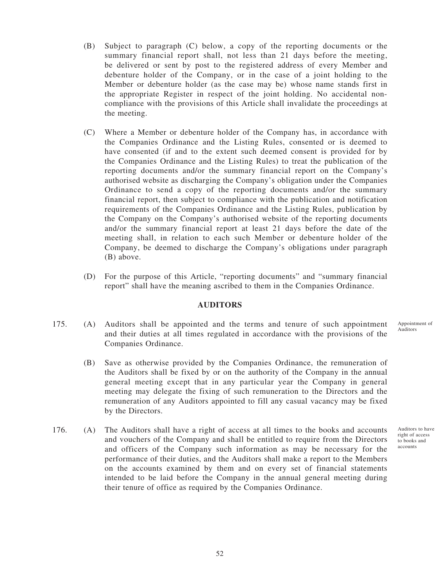- (B) Subject to paragraph (C) below, a copy of the reporting documents or the summary financial report shall, not less than 21 days before the meeting, be delivered or sent by post to the registered address of every Member and debenture holder of the Company, or in the case of a joint holding to the Member or debenture holder (as the case may be) whose name stands first in the appropriate Register in respect of the joint holding. No accidental noncompliance with the provisions of this Article shall invalidate the proceedings at the meeting.
- (C) Where a Member or debenture holder of the Company has, in accordance with the Companies Ordinance and the Listing Rules, consented or is deemed to have consented (if and to the extent such deemed consent is provided for by the Companies Ordinance and the Listing Rules) to treat the publication of the reporting documents and/or the summary financial report on the Company's authorised website as discharging the Company's obligation under the Companies Ordinance to send a copy of the reporting documents and/or the summary financial report, then subject to compliance with the publication and notification requirements of the Companies Ordinance and the Listing Rules, publication by the Company on the Company's authorised website of the reporting documents and/or the summary financial report at least 21 days before the date of the meeting shall, in relation to each such Member or debenture holder of the Company, be deemed to discharge the Company's obligations under paragraph (B) above.
- (D) For the purpose of this Article, "reporting documents" and "summary financial report" shall have the meaning ascribed to them in the Companies Ordinance.

#### **AUDITORS**

- 175. (A) Auditors shall be appointed and the terms and tenure of such appointment and their duties at all times regulated in accordance with the provisions of the Companies Ordinance. Appointment of
	- (B) Save as otherwise provided by the Companies Ordinance, the remuneration of the Auditors shall be fixed by or on the authority of the Company in the annual general meeting except that in any particular year the Company in general meeting may delegate the fixing of such remuneration to the Directors and the remuneration of any Auditors appointed to fill any casual vacancy may be fixed by the Directors.
- 176. (A) The Auditors shall have a right of access at all times to the books and accounts and vouchers of the Company and shall be entitled to require from the Directors and officers of the Company such information as may be necessary for the performance of their duties, and the Auditors shall make a report to the Members on the accounts examined by them and on every set of financial statements intended to be laid before the Company in the annual general meeting during their tenure of office as required by the Companies Ordinance.

Auditors to have right of access to books and accounts

Auditors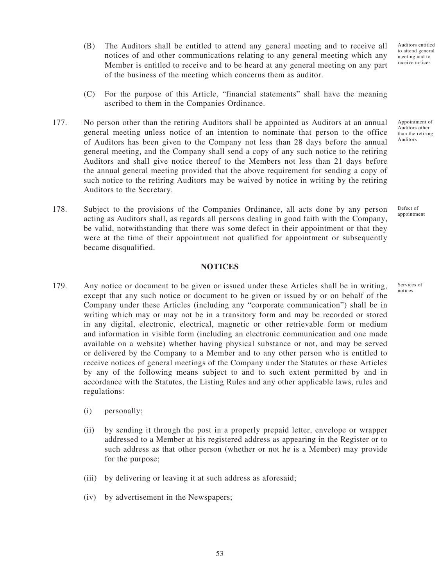Auditors entitled to attend general meeting and to receive notices

Appointment of Auditors other than the retiring Auditors

Defect of appointment

Services of notices

- (B) The Auditors shall be entitled to attend any general meeting and to receive all notices of and other communications relating to any general meeting which any Member is entitled to receive and to be heard at any general meeting on any part of the business of the meeting which concerns them as auditor.
- (C) For the purpose of this Article, "financial statements" shall have the meaning ascribed to them in the Companies Ordinance.
- 177. No person other than the retiring Auditors shall be appointed as Auditors at an annual general meeting unless notice of an intention to nominate that person to the office of Auditors has been given to the Company not less than 28 days before the annual general meeting, and the Company shall send a copy of any such notice to the retiring Auditors and shall give notice thereof to the Members not less than 21 days before the annual general meeting provided that the above requirement for sending a copy of such notice to the retiring Auditors may be waived by notice in writing by the retiring Auditors to the Secretary.
- 178. Subject to the provisions of the Companies Ordinance, all acts done by any person acting as Auditors shall, as regards all persons dealing in good faith with the Company, be valid, notwithstanding that there was some defect in their appointment or that they were at the time of their appointment not qualified for appointment or subsequently became disqualified.

## **NOTICES**

- 179. Any notice or document to be given or issued under these Articles shall be in writing, except that any such notice or document to be given or issued by or on behalf of the Company under these Articles (including any "corporate communication") shall be in writing which may or may not be in a transitory form and may be recorded or stored in any digital, electronic, electrical, magnetic or other retrievable form or medium and information in visible form (including an electronic communication and one made available on a website) whether having physical substance or not, and may be served or delivered by the Company to a Member and to any other person who is entitled to receive notices of general meetings of the Company under the Statutes or these Articles by any of the following means subject to and to such extent permitted by and in accordance with the Statutes, the Listing Rules and any other applicable laws, rules and regulations:
	- (i) personally;
	- (ii) by sending it through the post in a properly prepaid letter, envelope or wrapper addressed to a Member at his registered address as appearing in the Register or to such address as that other person (whether or not he is a Member) may provide for the purpose;
	- (iii) by delivering or leaving it at such address as aforesaid;
	- (iv) by advertisement in the Newspapers;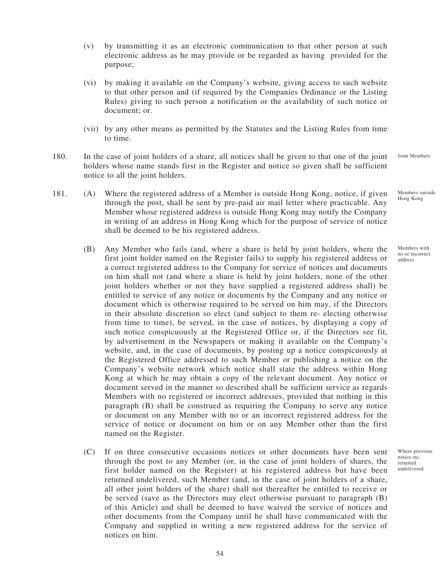- (v) by transmitting it as an electronic communication to that other person at such electronic address as he may provide or be regarded as having provided for the purpose;
- (vi) by making it available on the Company's website, giving access to such website to that other person and (if required by the Companies Ordinance or the Listing Rules) giving to such person a notification or the availability of such notice or document; or.
- (vii) by any other means as permitted by the Statutes and the Listing Rules from time to time.
- 180. In the case of joint holders of a share, all notices shall be given to that one of the joint holders whose name stands first in the Register and notice so given shall be sufficient notice to all the joint holders. Joint Members
- 181. (A) Where the registered address of a Member is outside Hong Kong, notice, if given through the post, shall be sent by pre-paid air mail letter where practicable. Any Member whose registered address is outside Hong Kong may notify the Company in writing of an address in Hong Kong which for the purpose of service of notice shall be deemed to be his registered address. Members outside Hong Kong
	- (B) Any Member who fails (and, where a share is held by joint holders, where the first joint holder named on the Register fails) to supply his registered address or a correct registered address to the Company for service of notices and documents on him shall not (and where a share is held by joint holders, none of the other joint holders whether or not they have supplied a registered address shall) be entitled to service of any notice or documents by the Company and any notice or document which is otherwise required to be served on him may, if the Directors in their absolute discretion so elect (and subject to them re- electing otherwise from time to time), be served, in the case of notices, by displaying a copy of such notice conspicuously at the Registered Office or, if the Directors see fit, by advertisement in the Newspapers or making it available on the Company's website, and, in the case of documents, by posting up a notice conspicuously at the Registered Office addressed to such Member or publishing a notice on the Company's website network which notice shall state the address within Hong Kong at which he may obtain a copy of the relevant document. Any notice or document served in the manner so described shall be sufficient service as regards Members with no registered or incorrect addresses, provided that nothing in this paragraph (B) shall be construed as requiring the Company to serve any notice or document on any Member with no or an incorrect registered address for the service of notice or document on him or on any Member other than the first named on the Register.
	- (C) If on three consecutive occasions notices or other documents have been sent through the post to any Member (or, in the case of joint holders of shares, the first holder named on the Register) at his registered address but have been returned undelivered, such Member (and, in the case of joint holders of a share, all other joint holders of the share) shall not thereafter be entitled to receive or be served (save as the Directors may elect otherwise pursuant to paragraph (B) of this Article) and shall be deemed to have waived the service of notices and other documents from the Company until he shall have communicated with the Company and supplied in writing a new registered address for the service of notices on him.

Members with no or incorrect address

Where previous notice etc. returned undelivered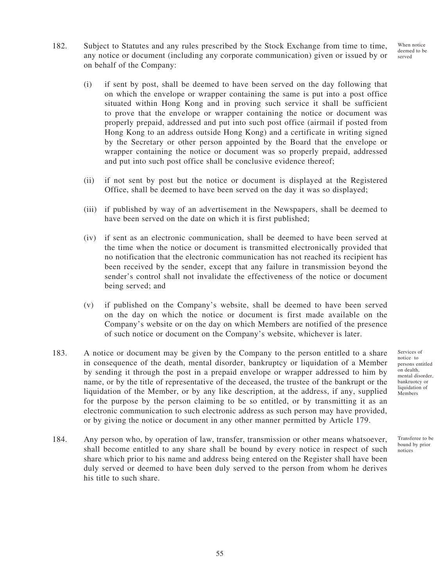- When notice deemed to be served
- 182. Subject to Statutes and any rules prescribed by the Stock Exchange from time to time, any notice or document (including any corporate communication) given or issued by or on behalf of the Company:
	- (i) if sent by post, shall be deemed to have been served on the day following that on which the envelope or wrapper containing the same is put into a post office situated within Hong Kong and in proving such service it shall be sufficient to prove that the envelope or wrapper containing the notice or document was properly prepaid, addressed and put into such post office (airmail if posted from Hong Kong to an address outside Hong Kong) and a certificate in writing signed by the Secretary or other person appointed by the Board that the envelope or wrapper containing the notice or document was so properly prepaid, addressed and put into such post office shall be conclusive evidence thereof;
	- (ii) if not sent by post but the notice or document is displayed at the Registered Office, shall be deemed to have been served on the day it was so displayed;
	- (iii) if published by way of an advertisement in the Newspapers, shall be deemed to have been served on the date on which it is first published;
	- (iv) if sent as an electronic communication, shall be deemed to have been served at the time when the notice or document is transmitted electronically provided that no notification that the electronic communication has not reached its recipient has been received by the sender, except that any failure in transmission beyond the sender's control shall not invalidate the effectiveness of the notice or document being served; and
	- (v) if published on the Company's website, shall be deemed to have been served on the day on which the notice or document is first made available on the Company's website or on the day on which Members are notified of the presence of such notice or document on the Company's website, whichever is later.
- 183. A notice or document may be given by the Company to the person entitled to a share in consequence of the death, mental disorder, bankruptcy or liquidation of a Member by sending it through the post in a prepaid envelope or wrapper addressed to him by name, or by the title of representative of the deceased, the trustee of the bankrupt or the liquidation of the Member, or by any like description, at the address, if any, supplied for the purpose by the person claiming to be so entitled, or by transmitting it as an electronic communication to such electronic address as such person may have provided, or by giving the notice or document in any other manner permitted by Article 179.
- 184. Any person who, by operation of law, transfer, transmission or other means whatsoever, shall become entitled to any share shall be bound by every notice in respect of such share which prior to his name and address being entered on the Register shall have been duly served or deemed to have been duly served to the person from whom he derives his title to such share.

Services of notice to persons entitled on dealth, mental disorder, bankruotcy or liquidation of Members

Transferee to be bound by prior notices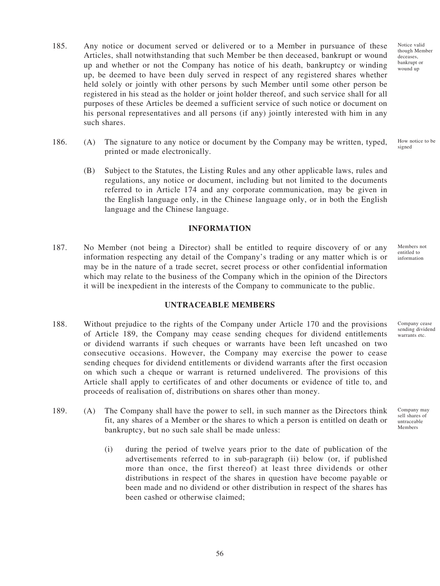- 185. Any notice or document served or delivered or to a Member in pursuance of these Articles, shall notwithstanding that such Member be then deceased, bankrupt or wound up and whether or not the Company has notice of his death, bankruptcy or winding up, be deemed to have been duly served in respect of any registered shares whether held solely or jointly with other persons by such Member until some other person be registered in his stead as the holder or joint holder thereof, and such service shall for all purposes of these Articles be deemed a sufficient service of such notice or document on his personal representatives and all persons (if any) jointly interested with him in any such shares.
- 186. (A) The signature to any notice or document by the Company may be written, typed, printed or made electronically.
	- (B) Subject to the Statutes, the Listing Rules and any other applicable laws, rules and regulations, any notice or document, including but not limited to the documents referred to in Article 174 and any corporate communication, may be given in the English language only, in the Chinese language only, or in both the English language and the Chinese language.

### **INFORMATION**

187. No Member (not being a Director) shall be entitled to require discovery of or any information respecting any detail of the Company's trading or any matter which is or may be in the nature of a trade secret, secret process or other confidential information which may relate to the business of the Company which in the opinion of the Directors it will be inexpedient in the interests of the Company to communicate to the public.

#### **UNTRACEABLE MEMBERS**

- 188. Without prejudice to the rights of the Company under Article 170 and the provisions of Article 189, the Company may cease sending cheques for dividend entitlements or dividend warrants if such cheques or warrants have been left uncashed on two consecutive occasions. However, the Company may exercise the power to cease sending cheques for dividend entitlements or dividend warrants after the first occasion on which such a cheque or warrant is returned undelivered. The provisions of this Article shall apply to certificates of and other documents or evidence of title to, and proceeds of realisation of, distributions on shares other than money.
- 189. (A) The Company shall have the power to sell, in such manner as the Directors think fit, any shares of a Member or the shares to which a person is entitled on death or bankruptcy, but no such sale shall be made unless:
	- (i) during the period of twelve years prior to the date of publication of the advertisements referred to in sub-paragraph (ii) below (or, if published more than once, the first thereof) at least three dividends or other distributions in respect of the shares in question have become payable or been made and no dividend or other distribution in respect of the shares has been cashed or otherwise claimed;

Notice valid though Member deceases, bankrupt or wound up

How notice to be signed

Members not entitled to information

Company cease sending dividend warrants etc.

Company may sell shares of untraceable Members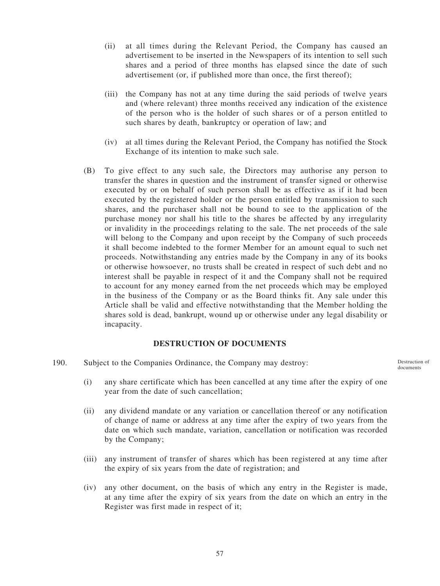- (ii) at all times during the Relevant Period, the Company has caused an advertisement to be inserted in the Newspapers of its intention to sell such shares and a period of three months has elapsed since the date of such advertisement (or, if published more than once, the first thereof);
- (iii) the Company has not at any time during the said periods of twelve years and (where relevant) three months received any indication of the existence of the person who is the holder of such shares or of a person entitled to such shares by death, bankruptcy or operation of law; and
- (iv) at all times during the Relevant Period, the Company has notified the Stock Exchange of its intention to make such sale.
- (B) To give effect to any such sale, the Directors may authorise any person to transfer the shares in question and the instrument of transfer signed or otherwise executed by or on behalf of such person shall be as effective as if it had been executed by the registered holder or the person entitled by transmission to such shares, and the purchaser shall not be bound to see to the application of the purchase money nor shall his title to the shares be affected by any irregularity or invalidity in the proceedings relating to the sale. The net proceeds of the sale will belong to the Company and upon receipt by the Company of such proceeds it shall become indebted to the former Member for an amount equal to such net proceeds. Notwithstanding any entries made by the Company in any of its books or otherwise howsoever, no trusts shall be created in respect of such debt and no interest shall be payable in respect of it and the Company shall not be required to account for any money earned from the net proceeds which may be employed in the business of the Company or as the Board thinks fit. Any sale under this Article shall be valid and effective notwithstanding that the Member holding the shares sold is dead, bankrupt, wound up or otherwise under any legal disability or incapacity.

#### **DESTRUCTION OF DOCUMENTS**

190. Subject to the Companies Ordinance, the Company may destroy:

(i) any share certificate which has been cancelled at any time after the expiry of one year from the date of such cancellation;

- (ii) any dividend mandate or any variation or cancellation thereof or any notification of change of name or address at any time after the expiry of two years from the date on which such mandate, variation, cancellation or notification was recorded by the Company;
- (iii) any instrument of transfer of shares which has been registered at any time after the expiry of six years from the date of registration; and
- (iv) any other document, on the basis of which any entry in the Register is made, at any time after the expiry of six years from the date on which an entry in the Register was first made in respect of it;

57

Destruction of documents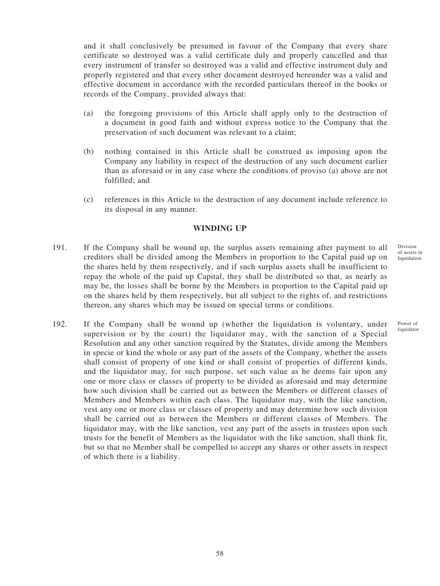and it shall conclusively be presumed in favour of the Company that every share certificate so destroyed was a valid certificate duly and properly cancelled and that every instrument of transfer so destroyed was a valid and effective instrument duly and properly registered and that every other document destroyed hereunder was a valid and effective document in accordance with the recorded particulars thereof in the books or records of the Company, provided always that:

- (a) the foregoing provisions of this Article shall apply only to the destruction of a document in good faith and without express notice to the Company that the preservation of such document was relevant to a claim;
- (b) nothing contained in this Article shall be construed as imposing upon the Company any liability in respect of the destruction of any such document earlier than as aforesaid or in any case where the conditions of proviso (a) above are not fulfilled; and
- (c) references in this Article to the destruction of any document include reference to its disposal in any manner.

### **WINDING UP**

- 191. If the Company shall be wound up, the surplus assets remaining after payment to all creditors shall be divided among the Members in proportion to the Capital paid up on the shares held by them respectively, and if such surplus assets shall be insufficient to repay the whole of the paid up Capital, they shall be distributed so that, as nearly as may be, the losses shall be borne by the Members in proportion to the Capital paid up on the shares held by them respectively, but all subject to the rights of, and restrictions thereon, any shares which may be issued on special terms or conditions.
- 192. If the Company shall be wound up (whether the liquidation is voluntary, under supervision or by the court) the liquidator may, with the sanction of a Special Resolution and any other sanction required by the Statutes, divide among the Members in specie or kind the whole or any part of the assets of the Company, whether the assets shall consist of property of one kind or shall consist of properties of different kinds, and the liquidator may, for such purpose, set such value as he deems fair upon any one or more class or classes of property to be divided as aforesaid and may determine how such division shall be carried out as between the Members or different classes of Members and Members within each class. The liquidator may, with the like sanction, vest any one or more class or classes of property and may determine how such division shall be carried out as between the Members or different classes of Members. The liquidator may, with the like sanction, vest any part of the assets in trustees upon such trusts for the benefit of Members as the liquidator with the like sanction, shall think fit, but so that no Member shall be compelled to accept any shares or other assets in respect of which there is a liability.

Division of assets in liquidation

Power of liquidator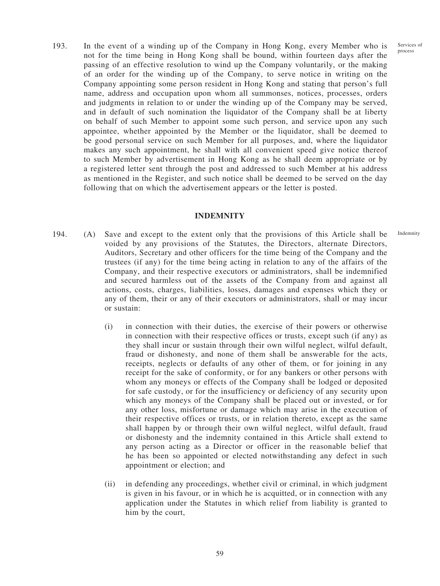Services of process

Indemnity

193. In the event of a winding up of the Company in Hong Kong, every Member who is not for the time being in Hong Kong shall be bound, within fourteen days after the passing of an effective resolution to wind up the Company voluntarily, or the making of an order for the winding up of the Company, to serve notice in writing on the Company appointing some person resident in Hong Kong and stating that person's full name, address and occupation upon whom all summonses, notices, processes, orders and judgments in relation to or under the winding up of the Company may be served, and in default of such nomination the liquidator of the Company shall be at liberty on behalf of such Member to appoint some such person, and service upon any such appointee, whether appointed by the Member or the liquidator, shall be deemed to be good personal service on such Member for all purposes, and, where the liquidator makes any such appointment, he shall with all convenient speed give notice thereof to such Member by advertisement in Hong Kong as he shall deem appropriate or by a registered letter sent through the post and addressed to such Member at his address as mentioned in the Register, and such notice shall be deemed to be served on the day following that on which the advertisement appears or the letter is posted.

#### **INDEMNITY**

- 194. (A) Save and except to the extent only that the provisions of this Article shall be voided by any provisions of the Statutes, the Directors, alternate Directors, Auditors, Secretary and other officers for the time being of the Company and the trustees (if any) for the time being acting in relation to any of the affairs of the Company, and their respective executors or administrators, shall be indemnified and secured harmless out of the assets of the Company from and against all actions, costs, charges, liabilities, losses, damages and expenses which they or any of them, their or any of their executors or administrators, shall or may incur or sustain:
	- (i) in connection with their duties, the exercise of their powers or otherwise in connection with their respective offices or trusts, except such (if any) as they shall incur or sustain through their own wilful neglect, wilful default, fraud or dishonesty, and none of them shall be answerable for the acts, receipts, neglects or defaults of any other of them, or for joining in any receipt for the sake of conformity, or for any bankers or other persons with whom any moneys or effects of the Company shall be lodged or deposited for safe custody, or for the insufficiency or deficiency of any security upon which any moneys of the Company shall be placed out or invested, or for any other loss, misfortune or damage which may arise in the execution of their respective offices or trusts, or in relation thereto, except as the same shall happen by or through their own wilful neglect, wilful default, fraud or dishonesty and the indemnity contained in this Article shall extend to any person acting as a Director or officer in the reasonable belief that he has been so appointed or elected notwithstanding any defect in such appointment or election; and
	- (ii) in defending any proceedings, whether civil or criminal, in which judgment is given in his favour, or in which he is acquitted, or in connection with any application under the Statutes in which relief from liability is granted to him by the court,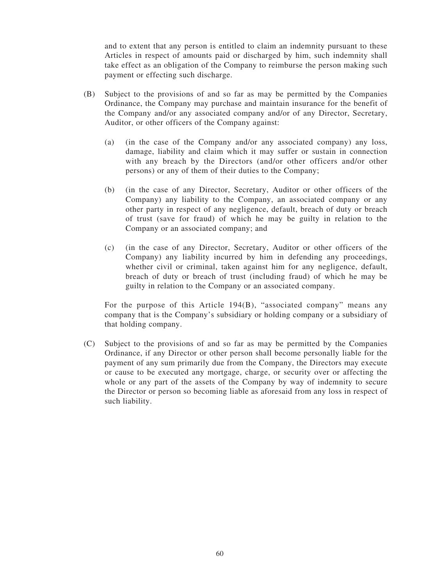and to extent that any person is entitled to claim an indemnity pursuant to these Articles in respect of amounts paid or discharged by him, such indemnity shall take effect as an obligation of the Company to reimburse the person making such payment or effecting such discharge.

- (B) Subject to the provisions of and so far as may be permitted by the Companies Ordinance, the Company may purchase and maintain insurance for the benefit of the Company and/or any associated company and/or of any Director, Secretary, Auditor, or other officers of the Company against:
	- (a) (in the case of the Company and/or any associated company) any loss, damage, liability and claim which it may suffer or sustain in connection with any breach by the Directors (and/or other officers and/or other persons) or any of them of their duties to the Company;
	- (b) (in the case of any Director, Secretary, Auditor or other officers of the Company) any liability to the Company, an associated company or any other party in respect of any negligence, default, breach of duty or breach of trust (save for fraud) of which he may be guilty in relation to the Company or an associated company; and
	- (c) (in the case of any Director, Secretary, Auditor or other officers of the Company) any liability incurred by him in defending any proceedings, whether civil or criminal, taken against him for any negligence, default, breach of duty or breach of trust (including fraud) of which he may be guilty in relation to the Company or an associated company.

For the purpose of this Article 194(B), "associated company" means any company that is the Company's subsidiary or holding company or a subsidiary of that holding company.

(C) Subject to the provisions of and so far as may be permitted by the Companies Ordinance, if any Director or other person shall become personally liable for the payment of any sum primarily due from the Company, the Directors may execute or cause to be executed any mortgage, charge, or security over or affecting the whole or any part of the assets of the Company by way of indemnity to secure the Director or person so becoming liable as aforesaid from any loss in respect of such liability.